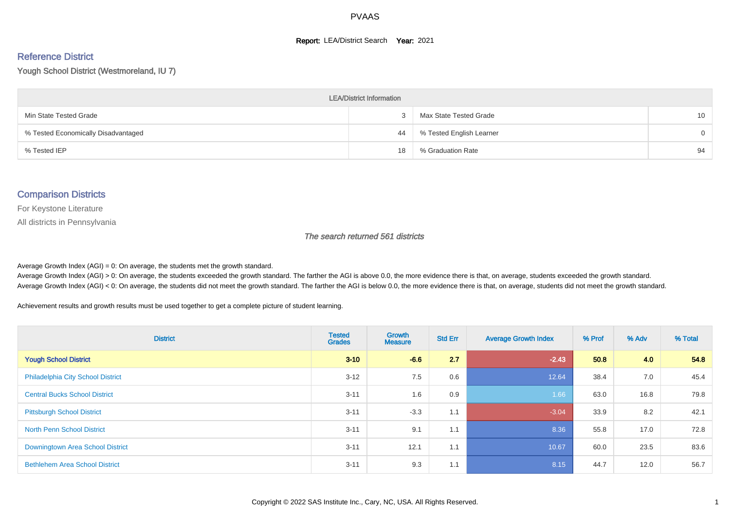#### **Report: LEA/District Search Year: 2021**

# Reference District

Yough School District (Westmoreland, IU 7)

| <b>LEA/District Information</b>     |    |                          |                 |  |  |  |  |  |  |  |
|-------------------------------------|----|--------------------------|-----------------|--|--|--|--|--|--|--|
| Min State Tested Grade              |    | Max State Tested Grade   | 10 <sup>°</sup> |  |  |  |  |  |  |  |
| % Tested Economically Disadvantaged | 44 | % Tested English Learner | $\Omega$        |  |  |  |  |  |  |  |
| % Tested IEP                        | 18 | % Graduation Rate        | 94              |  |  |  |  |  |  |  |

#### Comparison Districts

For Keystone Literature

All districts in Pennsylvania

The search returned 561 districts

Average Growth Index  $(AGI) = 0$ : On average, the students met the growth standard.

Average Growth Index (AGI) > 0: On average, the students exceeded the growth standard. The farther the AGI is above 0.0, the more evidence there is that, on average, students exceeded the growth standard. Average Growth Index (AGI) < 0: On average, the students did not meet the growth standard. The farther the AGI is below 0.0, the more evidence there is that, on average, students did not meet the growth standard.

Achievement results and growth results must be used together to get a complete picture of student learning.

| <b>District</b>                          | <b>Tested</b><br><b>Grades</b> | <b>Growth</b><br><b>Measure</b> | <b>Std Err</b> | <b>Average Growth Index</b> | % Prof | % Adv | % Total |
|------------------------------------------|--------------------------------|---------------------------------|----------------|-----------------------------|--------|-------|---------|
| <b>Yough School District</b>             | $3 - 10$                       | $-6.6$                          | 2.7            | $-2.43$                     | 50.8   | 4.0   | 54.8    |
| <b>Philadelphia City School District</b> | $3 - 12$                       | 7.5                             | 0.6            | 12.64                       | 38.4   | 7.0   | 45.4    |
| <b>Central Bucks School District</b>     | $3 - 11$                       | 1.6                             | 0.9            | 1.66                        | 63.0   | 16.8  | 79.8    |
| <b>Pittsburgh School District</b>        | $3 - 11$                       | $-3.3$                          | 1.1            | $-3.04$                     | 33.9   | 8.2   | 42.1    |
| <b>North Penn School District</b>        | $3 - 11$                       | 9.1                             | 1.1            | 8.36                        | 55.8   | 17.0  | 72.8    |
| Downingtown Area School District         | $3 - 11$                       | 12.1                            | 1.1            | 10.67                       | 60.0   | 23.5  | 83.6    |
| <b>Bethlehem Area School District</b>    | $3 - 11$                       | 9.3                             | 1.1            | 8.15                        | 44.7   | 12.0  | 56.7    |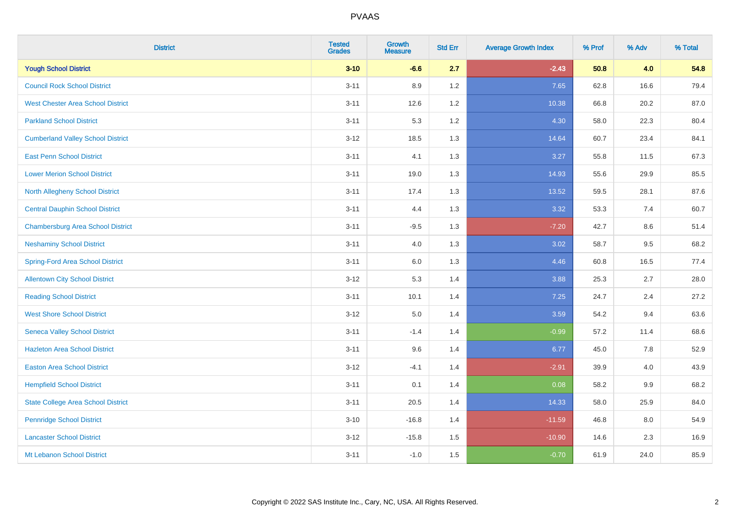| <b>District</b>                           | <b>Tested</b><br><b>Grades</b> | <b>Growth</b><br><b>Measure</b> | <b>Std Err</b> | <b>Average Growth Index</b> | % Prof | % Adv | % Total |
|-------------------------------------------|--------------------------------|---------------------------------|----------------|-----------------------------|--------|-------|---------|
| <b>Yough School District</b>              | $3 - 10$                       | $-6.6$                          | 2.7            | $-2.43$                     | 50.8   | 4.0   | 54.8    |
| <b>Council Rock School District</b>       | $3 - 11$                       | 8.9                             | 1.2            | 7.65                        | 62.8   | 16.6  | 79.4    |
| <b>West Chester Area School District</b>  | $3 - 11$                       | 12.6                            | 1.2            | 10.38                       | 66.8   | 20.2  | 87.0    |
| <b>Parkland School District</b>           | $3 - 11$                       | 5.3                             | 1.2            | 4.30                        | 58.0   | 22.3  | 80.4    |
| <b>Cumberland Valley School District</b>  | $3 - 12$                       | 18.5                            | 1.3            | 14.64                       | 60.7   | 23.4  | 84.1    |
| <b>East Penn School District</b>          | $3 - 11$                       | 4.1                             | 1.3            | 3.27                        | 55.8   | 11.5  | 67.3    |
| <b>Lower Merion School District</b>       | $3 - 11$                       | 19.0                            | 1.3            | 14.93                       | 55.6   | 29.9  | 85.5    |
| <b>North Allegheny School District</b>    | $3 - 11$                       | 17.4                            | 1.3            | 13.52                       | 59.5   | 28.1  | 87.6    |
| <b>Central Dauphin School District</b>    | $3 - 11$                       | 4.4                             | 1.3            | 3.32                        | 53.3   | 7.4   | 60.7    |
| <b>Chambersburg Area School District</b>  | $3 - 11$                       | $-9.5$                          | 1.3            | $-7.20$                     | 42.7   | 8.6   | 51.4    |
| <b>Neshaminy School District</b>          | $3 - 11$                       | 4.0                             | 1.3            | 3.02                        | 58.7   | 9.5   | 68.2    |
| <b>Spring-Ford Area School District</b>   | $3 - 11$                       | $6.0\,$                         | 1.3            | 4.46                        | 60.8   | 16.5  | 77.4    |
| <b>Allentown City School District</b>     | $3 - 12$                       | 5.3                             | 1.4            | 3.88                        | 25.3   | 2.7   | 28.0    |
| <b>Reading School District</b>            | $3 - 11$                       | 10.1                            | 1.4            | 7.25                        | 24.7   | 2.4   | 27.2    |
| <b>West Shore School District</b>         | $3 - 12$                       | $5.0\,$                         | 1.4            | 3.59                        | 54.2   | 9.4   | 63.6    |
| <b>Seneca Valley School District</b>      | $3 - 11$                       | $-1.4$                          | 1.4            | $-0.99$                     | 57.2   | 11.4  | 68.6    |
| <b>Hazleton Area School District</b>      | $3 - 11$                       | 9.6                             | 1.4            | 6.77                        | 45.0   | 7.8   | 52.9    |
| <b>Easton Area School District</b>        | $3 - 12$                       | $-4.1$                          | 1.4            | $-2.91$                     | 39.9   | 4.0   | 43.9    |
| <b>Hempfield School District</b>          | $3 - 11$                       | 0.1                             | 1.4            | 0.08                        | 58.2   | 9.9   | 68.2    |
| <b>State College Area School District</b> | $3 - 11$                       | 20.5                            | 1.4            | 14.33                       | 58.0   | 25.9  | 84.0    |
| <b>Pennridge School District</b>          | $3 - 10$                       | $-16.8$                         | 1.4            | $-11.59$                    | 46.8   | 8.0   | 54.9    |
| <b>Lancaster School District</b>          | $3 - 12$                       | $-15.8$                         | 1.5            | $-10.90$                    | 14.6   | 2.3   | 16.9    |
| Mt Lebanon School District                | $3 - 11$                       | $-1.0$                          | 1.5            | $-0.70$                     | 61.9   | 24.0  | 85.9    |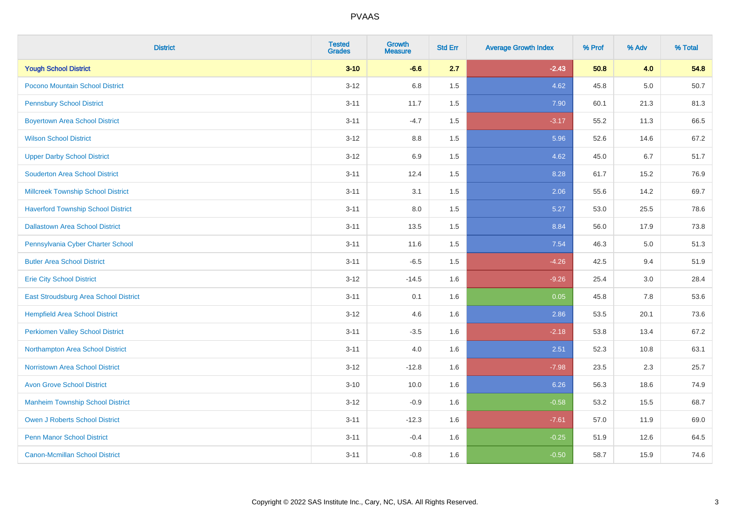| <b>District</b>                           | <b>Tested</b><br><b>Grades</b> | <b>Growth</b><br><b>Measure</b> | <b>Std Err</b> | <b>Average Growth Index</b> | % Prof | % Adv | % Total |
|-------------------------------------------|--------------------------------|---------------------------------|----------------|-----------------------------|--------|-------|---------|
| <b>Yough School District</b>              | $3 - 10$                       | $-6.6$                          | 2.7            | $-2.43$                     | 50.8   | 4.0   | 54.8    |
| Pocono Mountain School District           | $3 - 12$                       | 6.8                             | 1.5            | 4.62                        | 45.8   | 5.0   | 50.7    |
| <b>Pennsbury School District</b>          | $3 - 11$                       | 11.7                            | 1.5            | 7.90                        | 60.1   | 21.3  | 81.3    |
| <b>Boyertown Area School District</b>     | $3 - 11$                       | $-4.7$                          | 1.5            | $-3.17$                     | 55.2   | 11.3  | 66.5    |
| <b>Wilson School District</b>             | $3 - 12$                       | 8.8                             | 1.5            | 5.96                        | 52.6   | 14.6  | 67.2    |
| <b>Upper Darby School District</b>        | $3 - 12$                       | 6.9                             | 1.5            | 4.62                        | 45.0   | 6.7   | 51.7    |
| <b>Souderton Area School District</b>     | $3 - 11$                       | 12.4                            | 1.5            | 8.28                        | 61.7   | 15.2  | 76.9    |
| <b>Millcreek Township School District</b> | $3 - 11$                       | 3.1                             | 1.5            | 2.06                        | 55.6   | 14.2  | 69.7    |
| <b>Haverford Township School District</b> | $3 - 11$                       | 8.0                             | 1.5            | 5.27                        | 53.0   | 25.5  | 78.6    |
| <b>Dallastown Area School District</b>    | $3 - 11$                       | 13.5                            | 1.5            | 8.84                        | 56.0   | 17.9  | 73.8    |
| Pennsylvania Cyber Charter School         | $3 - 11$                       | 11.6                            | 1.5            | 7.54                        | 46.3   | 5.0   | 51.3    |
| <b>Butler Area School District</b>        | $3 - 11$                       | $-6.5$                          | 1.5            | $-4.26$                     | 42.5   | 9.4   | 51.9    |
| <b>Erie City School District</b>          | $3 - 12$                       | $-14.5$                         | 1.6            | $-9.26$                     | 25.4   | 3.0   | 28.4    |
| East Stroudsburg Area School District     | $3 - 11$                       | 0.1                             | 1.6            | 0.05                        | 45.8   | 7.8   | 53.6    |
| <b>Hempfield Area School District</b>     | $3 - 12$                       | 4.6                             | 1.6            | 2.86                        | 53.5   | 20.1  | 73.6    |
| <b>Perkiomen Valley School District</b>   | $3 - 11$                       | $-3.5$                          | 1.6            | $-2.18$                     | 53.8   | 13.4  | 67.2    |
| Northampton Area School District          | $3 - 11$                       | 4.0                             | 1.6            | 2.51                        | 52.3   | 10.8  | 63.1    |
| <b>Norristown Area School District</b>    | $3 - 12$                       | $-12.8$                         | 1.6            | $-7.98$                     | 23.5   | 2.3   | 25.7    |
| <b>Avon Grove School District</b>         | $3 - 10$                       | 10.0                            | 1.6            | 6.26                        | 56.3   | 18.6  | 74.9    |
| <b>Manheim Township School District</b>   | $3 - 12$                       | $-0.9$                          | 1.6            | $-0.58$                     | 53.2   | 15.5  | 68.7    |
| <b>Owen J Roberts School District</b>     | $3 - 11$                       | $-12.3$                         | 1.6            | $-7.61$                     | 57.0   | 11.9  | 69.0    |
| <b>Penn Manor School District</b>         | $3 - 11$                       | $-0.4$                          | 1.6            | $-0.25$                     | 51.9   | 12.6  | 64.5    |
| <b>Canon-Mcmillan School District</b>     | $3 - 11$                       | $-0.8$                          | 1.6            | $-0.50$                     | 58.7   | 15.9  | 74.6    |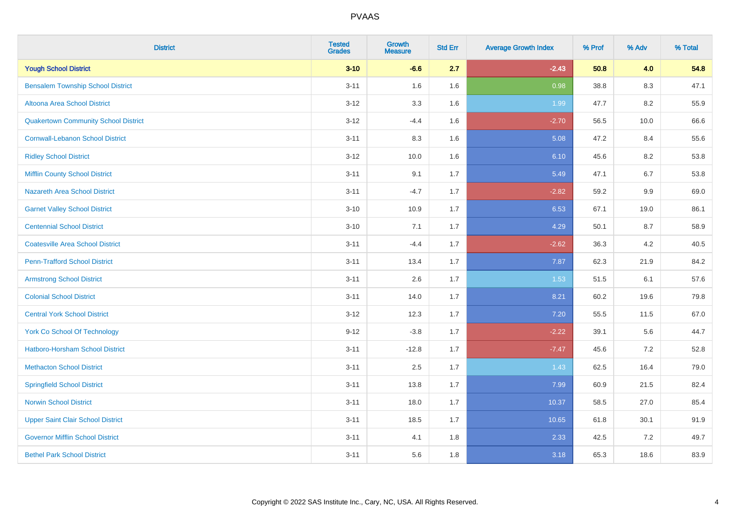| <b>District</b>                             | <b>Tested</b><br><b>Grades</b> | Growth<br><b>Measure</b> | <b>Std Err</b> | <b>Average Growth Index</b> | % Prof | % Adv | % Total |
|---------------------------------------------|--------------------------------|--------------------------|----------------|-----------------------------|--------|-------|---------|
| <b>Yough School District</b>                | $3 - 10$                       | $-6.6$                   | 2.7            | $-2.43$                     | 50.8   | 4.0   | 54.8    |
| <b>Bensalem Township School District</b>    | $3 - 11$                       | 1.6                      | 1.6            | 0.98                        | 38.8   | 8.3   | 47.1    |
| Altoona Area School District                | $3-12$                         | 3.3                      | 1.6            | 1.99                        | 47.7   | 8.2   | 55.9    |
| <b>Quakertown Community School District</b> | $3 - 12$                       | $-4.4$                   | 1.6            | $-2.70$                     | 56.5   | 10.0  | 66.6    |
| <b>Cornwall-Lebanon School District</b>     | $3 - 11$                       | 8.3                      | 1.6            | 5.08                        | 47.2   | 8.4   | 55.6    |
| <b>Ridley School District</b>               | $3-12$                         | 10.0                     | 1.6            | 6.10                        | 45.6   | 8.2   | 53.8    |
| <b>Mifflin County School District</b>       | $3 - 11$                       | 9.1                      | 1.7            | 5.49                        | 47.1   | 6.7   | 53.8    |
| <b>Nazareth Area School District</b>        | $3 - 11$                       | $-4.7$                   | 1.7            | $-2.82$                     | 59.2   | 9.9   | 69.0    |
| <b>Garnet Valley School District</b>        | $3 - 10$                       | 10.9                     | 1.7            | 6.53                        | 67.1   | 19.0  | 86.1    |
| <b>Centennial School District</b>           | $3 - 10$                       | 7.1                      | 1.7            | 4.29                        | 50.1   | 8.7   | 58.9    |
| <b>Coatesville Area School District</b>     | $3 - 11$                       | $-4.4$                   | 1.7            | $-2.62$                     | 36.3   | 4.2   | 40.5    |
| <b>Penn-Trafford School District</b>        | $3 - 11$                       | 13.4                     | 1.7            | 7.87                        | 62.3   | 21.9  | 84.2    |
| <b>Armstrong School District</b>            | $3 - 11$                       | 2.6                      | 1.7            | 1.53                        | 51.5   | 6.1   | 57.6    |
| <b>Colonial School District</b>             | $3 - 11$                       | 14.0                     | 1.7            | 8.21                        | 60.2   | 19.6  | 79.8    |
| <b>Central York School District</b>         | $3 - 12$                       | 12.3                     | 1.7            | 7.20                        | 55.5   | 11.5  | 67.0    |
| <b>York Co School Of Technology</b>         | $9 - 12$                       | $-3.8$                   | 1.7            | $-2.22$                     | 39.1   | 5.6   | 44.7    |
| Hatboro-Horsham School District             | $3 - 11$                       | $-12.8$                  | 1.7            | $-7.47$                     | 45.6   | 7.2   | 52.8    |
| <b>Methacton School District</b>            | $3 - 11$                       | 2.5                      | 1.7            | 1.43                        | 62.5   | 16.4  | 79.0    |
| <b>Springfield School District</b>          | $3 - 11$                       | 13.8                     | 1.7            | 7.99                        | 60.9   | 21.5  | 82.4    |
| <b>Norwin School District</b>               | $3 - 11$                       | 18.0                     | 1.7            | 10.37                       | 58.5   | 27.0  | 85.4    |
| <b>Upper Saint Clair School District</b>    | $3 - 11$                       | 18.5                     | 1.7            | 10.65                       | 61.8   | 30.1  | 91.9    |
| <b>Governor Mifflin School District</b>     | $3 - 11$                       | 4.1                      | 1.8            | 2.33                        | 42.5   | 7.2   | 49.7    |
| <b>Bethel Park School District</b>          | $3 - 11$                       | 5.6                      | 1.8            | 3.18                        | 65.3   | 18.6  | 83.9    |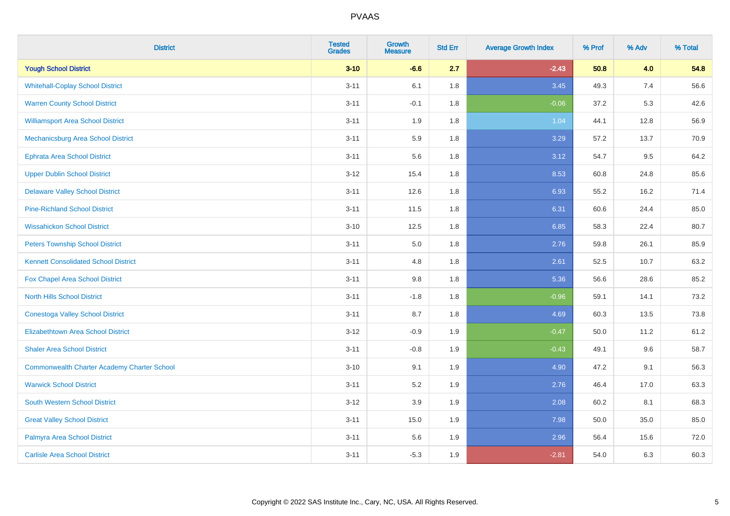| <b>District</b>                                    | <b>Tested</b><br><b>Grades</b> | Growth<br><b>Measure</b> | <b>Std Err</b> | <b>Average Growth Index</b> | % Prof | % Adv | % Total |
|----------------------------------------------------|--------------------------------|--------------------------|----------------|-----------------------------|--------|-------|---------|
| <b>Yough School District</b>                       | $3 - 10$                       | $-6.6$                   | 2.7            | $-2.43$                     | 50.8   | 4.0   | 54.8    |
| <b>Whitehall-Coplay School District</b>            | $3 - 11$                       | 6.1                      | 1.8            | 3.45                        | 49.3   | 7.4   | 56.6    |
| <b>Warren County School District</b>               | $3 - 11$                       | $-0.1$                   | 1.8            | $-0.06$                     | 37.2   | 5.3   | 42.6    |
| <b>Williamsport Area School District</b>           | $3 - 11$                       | 1.9                      | 1.8            | 1.04                        | 44.1   | 12.8  | 56.9    |
| Mechanicsburg Area School District                 | $3 - 11$                       | 5.9                      | 1.8            | 3.29                        | 57.2   | 13.7  | 70.9    |
| <b>Ephrata Area School District</b>                | $3 - 11$                       | 5.6                      | 1.8            | 3.12                        | 54.7   | 9.5   | 64.2    |
| <b>Upper Dublin School District</b>                | $3 - 12$                       | 15.4                     | 1.8            | 8.53                        | 60.8   | 24.8  | 85.6    |
| <b>Delaware Valley School District</b>             | $3 - 11$                       | 12.6                     | 1.8            | 6.93                        | 55.2   | 16.2  | 71.4    |
| <b>Pine-Richland School District</b>               | $3 - 11$                       | 11.5                     | 1.8            | 6.31                        | 60.6   | 24.4  | 85.0    |
| <b>Wissahickon School District</b>                 | $3 - 10$                       | 12.5                     | 1.8            | 6.85                        | 58.3   | 22.4  | 80.7    |
| <b>Peters Township School District</b>             | $3 - 11$                       | 5.0                      | 1.8            | 2.76                        | 59.8   | 26.1  | 85.9    |
| <b>Kennett Consolidated School District</b>        | $3 - 11$                       | 4.8                      | 1.8            | 2.61                        | 52.5   | 10.7  | 63.2    |
| Fox Chapel Area School District                    | $3 - 11$                       | 9.8                      | 1.8            | 5.36                        | 56.6   | 28.6  | 85.2    |
| <b>North Hills School District</b>                 | $3 - 11$                       | $-1.8$                   | 1.8            | $-0.96$                     | 59.1   | 14.1  | 73.2    |
| <b>Conestoga Valley School District</b>            | $3 - 11$                       | 8.7                      | 1.8            | 4.69                        | 60.3   | 13.5  | 73.8    |
| <b>Elizabethtown Area School District</b>          | $3 - 12$                       | $-0.9$                   | 1.9            | $-0.47$                     | 50.0   | 11.2  | 61.2    |
| <b>Shaler Area School District</b>                 | $3 - 11$                       | $-0.8$                   | 1.9            | $-0.43$                     | 49.1   | 9.6   | 58.7    |
| <b>Commonwealth Charter Academy Charter School</b> | $3 - 10$                       | 9.1                      | 1.9            | 4.90                        | 47.2   | 9.1   | 56.3    |
| <b>Warwick School District</b>                     | $3 - 11$                       | 5.2                      | 1.9            | 2.76                        | 46.4   | 17.0  | 63.3    |
| <b>South Western School District</b>               | $3 - 12$                       | 3.9                      | 1.9            | 2.08                        | 60.2   | 8.1   | 68.3    |
| <b>Great Valley School District</b>                | $3 - 11$                       | 15.0                     | 1.9            | 7.98                        | 50.0   | 35.0  | 85.0    |
| Palmyra Area School District                       | $3 - 11$                       | 5.6                      | 1.9            | 2.96                        | 56.4   | 15.6  | 72.0    |
| <b>Carlisle Area School District</b>               | $3 - 11$                       | $-5.3$                   | 1.9            | $-2.81$                     | 54.0   | 6.3   | 60.3    |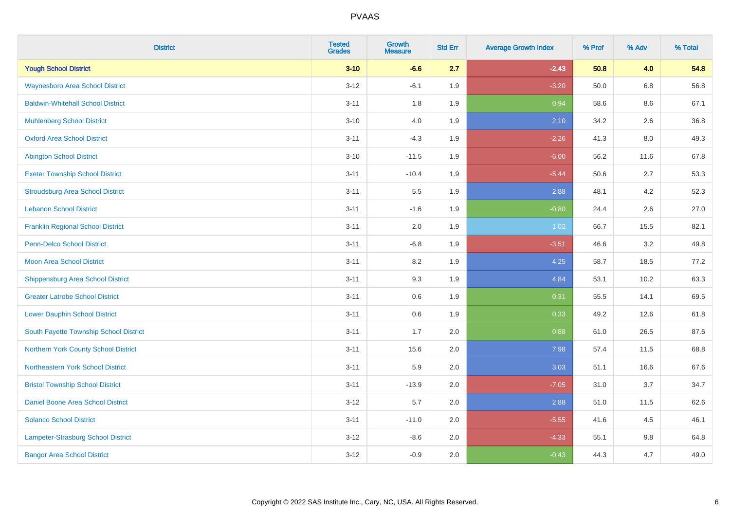| <b>District</b>                          | <b>Tested</b><br><b>Grades</b> | Growth<br><b>Measure</b> | <b>Std Err</b> | <b>Average Growth Index</b> | % Prof | % Adv   | % Total |
|------------------------------------------|--------------------------------|--------------------------|----------------|-----------------------------|--------|---------|---------|
| <b>Yough School District</b>             | $3 - 10$                       | $-6.6$                   | 2.7            | $-2.43$                     | 50.8   | 4.0     | 54.8    |
| <b>Waynesboro Area School District</b>   | $3 - 12$                       | $-6.1$                   | 1.9            | $-3.20$                     | 50.0   | $6.8\,$ | 56.8    |
| <b>Baldwin-Whitehall School District</b> | $3 - 11$                       | 1.8                      | 1.9            | 0.94                        | 58.6   | 8.6     | 67.1    |
| <b>Muhlenberg School District</b>        | $3 - 10$                       | $4.0\,$                  | 1.9            | 2.10                        | 34.2   | 2.6     | 36.8    |
| <b>Oxford Area School District</b>       | $3 - 11$                       | $-4.3$                   | 1.9            | $-2.26$                     | 41.3   | 8.0     | 49.3    |
| <b>Abington School District</b>          | $3 - 10$                       | $-11.5$                  | 1.9            | $-6.00$                     | 56.2   | 11.6    | 67.8    |
| <b>Exeter Township School District</b>   | $3 - 11$                       | $-10.4$                  | 1.9            | $-5.44$                     | 50.6   | 2.7     | 53.3    |
| <b>Stroudsburg Area School District</b>  | $3 - 11$                       | $5.5\,$                  | 1.9            | 2.88                        | 48.1   | 4.2     | 52.3    |
| <b>Lebanon School District</b>           | $3 - 11$                       | $-1.6$                   | 1.9            | $-0.80$                     | 24.4   | 2.6     | 27.0    |
| <b>Franklin Regional School District</b> | $3 - 11$                       | 2.0                      | 1.9            | 1.02                        | 66.7   | 15.5    | 82.1    |
| <b>Penn-Delco School District</b>        | $3 - 11$                       | $-6.8$                   | 1.9            | $-3.51$                     | 46.6   | 3.2     | 49.8    |
| <b>Moon Area School District</b>         | $3 - 11$                       | 8.2                      | 1.9            | 4.25                        | 58.7   | 18.5    | 77.2    |
| <b>Shippensburg Area School District</b> | $3 - 11$                       | 9.3                      | 1.9            | 4.84                        | 53.1   | 10.2    | 63.3    |
| <b>Greater Latrobe School District</b>   | $3 - 11$                       | 0.6                      | 1.9            | 0.31                        | 55.5   | 14.1    | 69.5    |
| <b>Lower Dauphin School District</b>     | $3 - 11$                       | 0.6                      | 1.9            | 0.33                        | 49.2   | 12.6    | 61.8    |
| South Fayette Township School District   | $3 - 11$                       | 1.7                      | 2.0            | 0.88                        | 61.0   | 26.5    | 87.6    |
| Northern York County School District     | $3 - 11$                       | 15.6                     | 2.0            | 7.98                        | 57.4   | 11.5    | 68.8    |
| Northeastern York School District        | $3 - 11$                       | 5.9                      | 2.0            | 3.03                        | 51.1   | 16.6    | 67.6    |
| <b>Bristol Township School District</b>  | $3 - 11$                       | $-13.9$                  | 2.0            | $-7.05$                     | 31.0   | 3.7     | 34.7    |
| Daniel Boone Area School District        | $3 - 12$                       | 5.7                      | 2.0            | 2.88                        | 51.0   | 11.5    | 62.6    |
| <b>Solanco School District</b>           | $3 - 11$                       | $-11.0$                  | 2.0            | $-5.55$                     | 41.6   | 4.5     | 46.1    |
| Lampeter-Strasburg School District       | $3 - 12$                       | $-8.6$                   | 2.0            | $-4.33$                     | 55.1   | $9.8\,$ | 64.8    |
| <b>Bangor Area School District</b>       | $3 - 12$                       | $-0.9$                   | 2.0            | $-0.43$                     | 44.3   | 4.7     | 49.0    |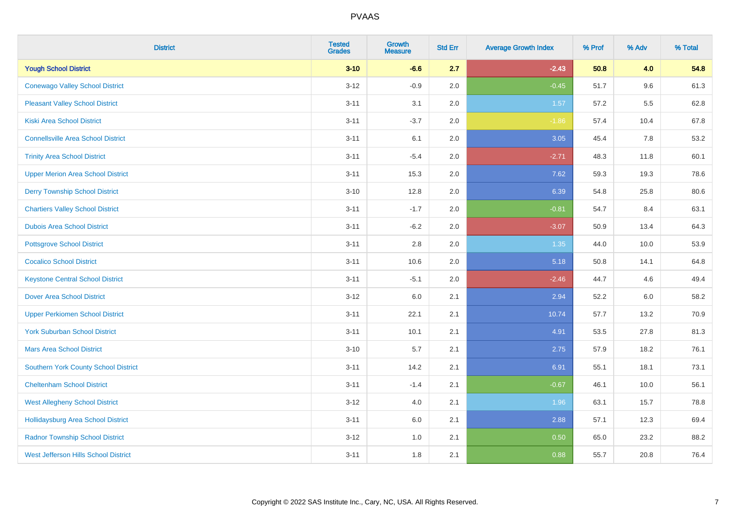| <b>District</b>                             | <b>Tested</b><br><b>Grades</b> | Growth<br><b>Measure</b> | <b>Std Err</b> | <b>Average Growth Index</b> | % Prof | % Adv | % Total |
|---------------------------------------------|--------------------------------|--------------------------|----------------|-----------------------------|--------|-------|---------|
| <b>Yough School District</b>                | $3 - 10$                       | $-6.6$                   | 2.7            | $-2.43$                     | 50.8   | 4.0   | 54.8    |
| <b>Conewago Valley School District</b>      | $3 - 12$                       | $-0.9$                   | 2.0            | $-0.45$                     | 51.7   | 9.6   | 61.3    |
| <b>Pleasant Valley School District</b>      | $3 - 11$                       | 3.1                      | 2.0            | 1.57                        | 57.2   | 5.5   | 62.8    |
| <b>Kiski Area School District</b>           | $3 - 11$                       | $-3.7$                   | 2.0            | $-1.86$                     | 57.4   | 10.4  | 67.8    |
| <b>Connellsville Area School District</b>   | $3 - 11$                       | 6.1                      | 2.0            | 3.05                        | 45.4   | 7.8   | 53.2    |
| <b>Trinity Area School District</b>         | $3 - 11$                       | $-5.4$                   | 2.0            | $-2.71$                     | 48.3   | 11.8  | 60.1    |
| <b>Upper Merion Area School District</b>    | $3 - 11$                       | 15.3                     | 2.0            | 7.62                        | 59.3   | 19.3  | 78.6    |
| <b>Derry Township School District</b>       | $3 - 10$                       | 12.8                     | 2.0            | 6.39                        | 54.8   | 25.8  | 80.6    |
| <b>Chartiers Valley School District</b>     | $3 - 11$                       | $-1.7$                   | 2.0            | $-0.81$                     | 54.7   | 8.4   | 63.1    |
| <b>Dubois Area School District</b>          | $3 - 11$                       | $-6.2$                   | 2.0            | $-3.07$                     | 50.9   | 13.4  | 64.3    |
| <b>Pottsgrove School District</b>           | $3 - 11$                       | 2.8                      | 2.0            | 1.35                        | 44.0   | 10.0  | 53.9    |
| <b>Cocalico School District</b>             | $3 - 11$                       | 10.6                     | 2.0            | 5.18                        | 50.8   | 14.1  | 64.8    |
| <b>Keystone Central School District</b>     | $3 - 11$                       | $-5.1$                   | 2.0            | $-2.46$                     | 44.7   | 4.6   | 49.4    |
| <b>Dover Area School District</b>           | $3 - 12$                       | 6.0                      | 2.1            | 2.94                        | 52.2   | 6.0   | 58.2    |
| <b>Upper Perkiomen School District</b>      | $3 - 11$                       | 22.1                     | 2.1            | 10.74                       | 57.7   | 13.2  | 70.9    |
| <b>York Suburban School District</b>        | $3 - 11$                       | 10.1                     | 2.1            | 4.91                        | 53.5   | 27.8  | 81.3    |
| <b>Mars Area School District</b>            | $3 - 10$                       | 5.7                      | 2.1            | 2.75                        | 57.9   | 18.2  | 76.1    |
| Southern York County School District        | $3 - 11$                       | 14.2                     | 2.1            | 6.91                        | 55.1   | 18.1  | 73.1    |
| <b>Cheltenham School District</b>           | $3 - 11$                       | $-1.4$                   | 2.1            | $-0.67$                     | 46.1   | 10.0  | 56.1    |
| <b>West Allegheny School District</b>       | $3 - 12$                       | 4.0                      | 2.1            | 1.96                        | 63.1   | 15.7  | 78.8    |
| <b>Hollidaysburg Area School District</b>   | $3 - 11$                       | 6.0                      | 2.1            | 2.88                        | 57.1   | 12.3  | 69.4    |
| <b>Radnor Township School District</b>      | $3 - 12$                       | 1.0                      | 2.1            | 0.50                        | 65.0   | 23.2  | 88.2    |
| <b>West Jefferson Hills School District</b> | $3 - 11$                       | 1.8                      | 2.1            | 0.88                        | 55.7   | 20.8  | 76.4    |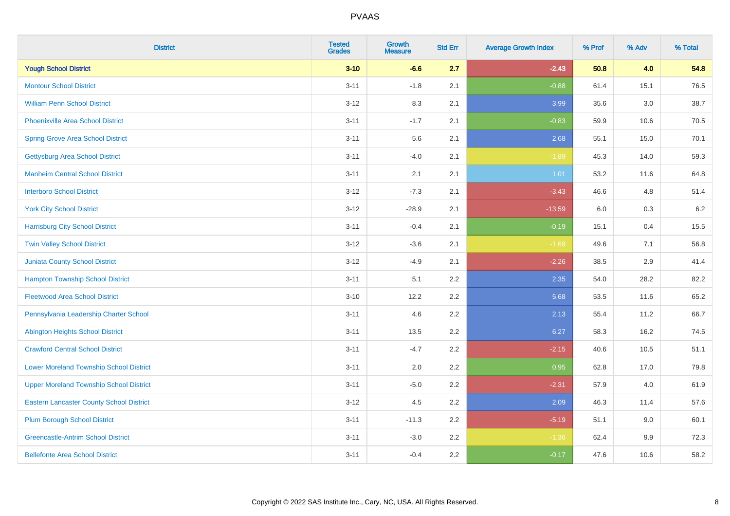| <b>District</b>                                 | <b>Tested</b><br><b>Grades</b> | <b>Growth</b><br><b>Measure</b> | <b>Std Err</b> | <b>Average Growth Index</b> | % Prof | % Adv   | % Total |
|-------------------------------------------------|--------------------------------|---------------------------------|----------------|-----------------------------|--------|---------|---------|
| <b>Yough School District</b>                    | $3 - 10$                       | $-6.6$                          | 2.7            | $-2.43$                     | 50.8   | 4.0     | 54.8    |
| <b>Montour School District</b>                  | $3 - 11$                       | $-1.8$                          | 2.1            | $-0.88$                     | 61.4   | 15.1    | 76.5    |
| <b>William Penn School District</b>             | $3-12$                         | 8.3                             | 2.1            | 3.99                        | 35.6   | $3.0\,$ | 38.7    |
| Phoenixville Area School District               | $3 - 11$                       | $-1.7$                          | 2.1            | $-0.83$                     | 59.9   | 10.6    | 70.5    |
| <b>Spring Grove Area School District</b>        | $3 - 11$                       | 5.6                             | 2.1            | 2.68                        | 55.1   | 15.0    | 70.1    |
| <b>Gettysburg Area School District</b>          | $3 - 11$                       | $-4.0$                          | 2.1            | $-1.89$                     | 45.3   | 14.0    | 59.3    |
| <b>Manheim Central School District</b>          | $3 - 11$                       | 2.1                             | 2.1            | 1.01                        | 53.2   | 11.6    | 64.8    |
| <b>Interboro School District</b>                | $3 - 12$                       | $-7.3$                          | 2.1            | $-3.43$                     | 46.6   | 4.8     | 51.4    |
| <b>York City School District</b>                | $3-12$                         | $-28.9$                         | 2.1            | $-13.59$                    | 6.0    | $0.3\,$ | 6.2     |
| <b>Harrisburg City School District</b>          | $3 - 11$                       | $-0.4$                          | 2.1            | $-0.19$                     | 15.1   | 0.4     | 15.5    |
| <b>Twin Valley School District</b>              | $3 - 12$                       | $-3.6$                          | 2.1            | $-1.69$                     | 49.6   | 7.1     | 56.8    |
| Juniata County School District                  | $3 - 12$                       | $-4.9$                          | 2.1            | $-2.26$                     | 38.5   | 2.9     | 41.4    |
| <b>Hampton Township School District</b>         | $3 - 11$                       | 5.1                             | 2.2            | 2.35                        | 54.0   | 28.2    | 82.2    |
| <b>Fleetwood Area School District</b>           | $3 - 10$                       | 12.2                            | 2.2            | 5.68                        | 53.5   | 11.6    | 65.2    |
| Pennsylvania Leadership Charter School          | $3 - 11$                       | 4.6                             | 2.2            | 2.13                        | 55.4   | 11.2    | 66.7    |
| <b>Abington Heights School District</b>         | $3 - 11$                       | 13.5                            | 2.2            | 6.27                        | 58.3   | 16.2    | 74.5    |
| <b>Crawford Central School District</b>         | $3 - 11$                       | $-4.7$                          | 2.2            | $-2.15$                     | 40.6   | 10.5    | 51.1    |
| <b>Lower Moreland Township School District</b>  | $3 - 11$                       | 2.0                             | 2.2            | 0.95                        | 62.8   | 17.0    | 79.8    |
| <b>Upper Moreland Township School District</b>  | $3 - 11$                       | $-5.0$                          | 2.2            | $-2.31$                     | 57.9   | 4.0     | 61.9    |
| <b>Eastern Lancaster County School District</b> | $3-12$                         | 4.5                             | 2.2            | 2.09                        | 46.3   | 11.4    | 57.6    |
| <b>Plum Borough School District</b>             | $3 - 11$                       | $-11.3$                         | 2.2            | $-5.19$                     | 51.1   | 9.0     | 60.1    |
| <b>Greencastle-Antrim School District</b>       | $3 - 11$                       | $-3.0$                          | 2.2            | $-1.36$                     | 62.4   | 9.9     | 72.3    |
| <b>Bellefonte Area School District</b>          | $3 - 11$                       | $-0.4$                          | 2.2            | $-0.17$                     | 47.6   | 10.6    | 58.2    |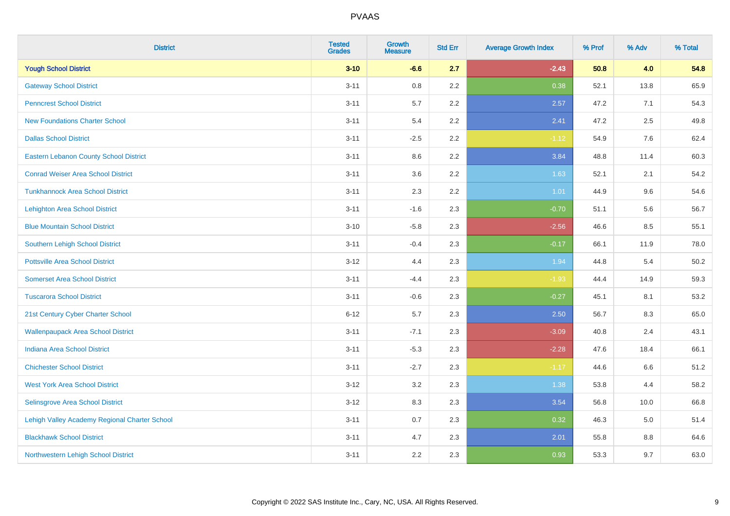| <b>District</b>                               | <b>Tested</b><br><b>Grades</b> | Growth<br><b>Measure</b> | <b>Std Err</b> | <b>Average Growth Index</b> | % Prof | % Adv | % Total |
|-----------------------------------------------|--------------------------------|--------------------------|----------------|-----------------------------|--------|-------|---------|
| <b>Yough School District</b>                  | $3 - 10$                       | $-6.6$                   | 2.7            | $-2.43$                     | 50.8   | 4.0   | 54.8    |
| <b>Gateway School District</b>                | $3 - 11$                       | 0.8                      | 2.2            | 0.38                        | 52.1   | 13.8  | 65.9    |
| <b>Penncrest School District</b>              | $3 - 11$                       | 5.7                      | 2.2            | 2.57                        | 47.2   | 7.1   | 54.3    |
| <b>New Foundations Charter School</b>         | $3 - 11$                       | 5.4                      | 2.2            | 2.41                        | 47.2   | 2.5   | 49.8    |
| <b>Dallas School District</b>                 | $3 - 11$                       | $-2.5$                   | 2.2            | $-1.12$                     | 54.9   | 7.6   | 62.4    |
| <b>Eastern Lebanon County School District</b> | $3 - 11$                       | 8.6                      | 2.2            | 3.84                        | 48.8   | 11.4  | 60.3    |
| <b>Conrad Weiser Area School District</b>     | $3 - 11$                       | 3.6                      | 2.2            | 1.63                        | 52.1   | 2.1   | 54.2    |
| <b>Tunkhannock Area School District</b>       | $3 - 11$                       | 2.3                      | 2.2            | 1.01                        | 44.9   | 9.6   | 54.6    |
| <b>Lehighton Area School District</b>         | $3 - 11$                       | $-1.6$                   | 2.3            | $-0.70$                     | 51.1   | 5.6   | 56.7    |
| <b>Blue Mountain School District</b>          | $3 - 10$                       | $-5.8$                   | 2.3            | $-2.56$                     | 46.6   | 8.5   | 55.1    |
| Southern Lehigh School District               | $3 - 11$                       | $-0.4$                   | 2.3            | $-0.17$                     | 66.1   | 11.9  | 78.0    |
| <b>Pottsville Area School District</b>        | $3 - 12$                       | 4.4                      | 2.3            | 1.94                        | 44.8   | 5.4   | 50.2    |
| <b>Somerset Area School District</b>          | $3 - 11$                       | $-4.4$                   | 2.3            | $-1.93$                     | 44.4   | 14.9  | 59.3    |
| <b>Tuscarora School District</b>              | $3 - 11$                       | $-0.6$                   | 2.3            | $-0.27$                     | 45.1   | 8.1   | 53.2    |
| 21st Century Cyber Charter School             | $6 - 12$                       | 5.7                      | 2.3            | 2.50                        | 56.7   | 8.3   | 65.0    |
| <b>Wallenpaupack Area School District</b>     | $3 - 11$                       | $-7.1$                   | 2.3            | $-3.09$                     | 40.8   | 2.4   | 43.1    |
| <b>Indiana Area School District</b>           | $3 - 11$                       | $-5.3$                   | 2.3            | $-2.28$                     | 47.6   | 18.4  | 66.1    |
| <b>Chichester School District</b>             | $3 - 11$                       | $-2.7$                   | 2.3            | $-1.17$                     | 44.6   | 6.6   | 51.2    |
| <b>West York Area School District</b>         | $3 - 12$                       | 3.2                      | 2.3            | 1.38                        | 53.8   | 4.4   | 58.2    |
| Selinsgrove Area School District              | $3 - 12$                       | 8.3                      | 2.3            | 3.54                        | 56.8   | 10.0  | 66.8    |
| Lehigh Valley Academy Regional Charter School | $3 - 11$                       | 0.7                      | 2.3            | 0.32                        | 46.3   | 5.0   | 51.4    |
| <b>Blackhawk School District</b>              | $3 - 11$                       | 4.7                      | 2.3            | 2.01                        | 55.8   | 8.8   | 64.6    |
| Northwestern Lehigh School District           | $3 - 11$                       | 2.2                      | 2.3            | 0.93                        | 53.3   | 9.7   | 63.0    |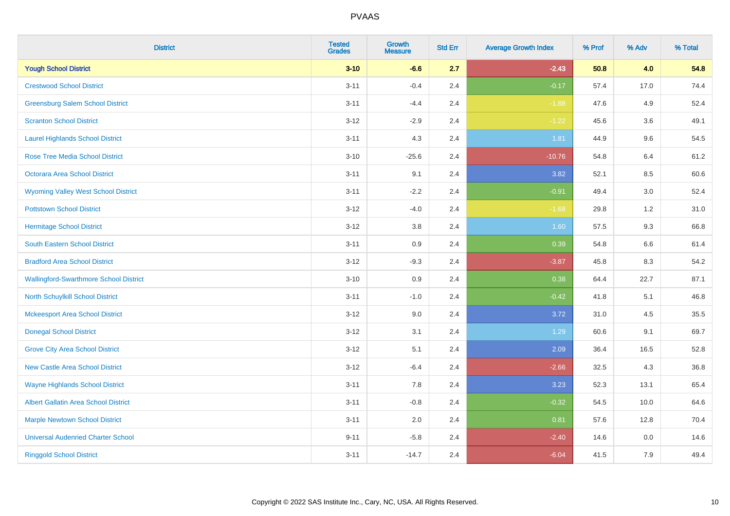| <b>District</b>                               | <b>Tested</b><br><b>Grades</b> | Growth<br><b>Measure</b> | <b>Std Err</b> | <b>Average Growth Index</b> | % Prof | % Adv | % Total |
|-----------------------------------------------|--------------------------------|--------------------------|----------------|-----------------------------|--------|-------|---------|
| <b>Yough School District</b>                  | $3 - 10$                       | $-6.6$                   | 2.7            | $-2.43$                     | 50.8   | 4.0   | 54.8    |
| <b>Crestwood School District</b>              | $3 - 11$                       | $-0.4$                   | 2.4            | $-0.17$                     | 57.4   | 17.0  | 74.4    |
| <b>Greensburg Salem School District</b>       | $3 - 11$                       | $-4.4$                   | 2.4            | $-1.88$                     | 47.6   | 4.9   | 52.4    |
| <b>Scranton School District</b>               | $3 - 12$                       | $-2.9$                   | 2.4            | $-1.22$                     | 45.6   | 3.6   | 49.1    |
| <b>Laurel Highlands School District</b>       | $3 - 11$                       | 4.3                      | 2.4            | 1.81                        | 44.9   | 9.6   | 54.5    |
| <b>Rose Tree Media School District</b>        | $3 - 10$                       | $-25.6$                  | 2.4            | $-10.76$                    | 54.8   | 6.4   | 61.2    |
| <b>Octorara Area School District</b>          | $3 - 11$                       | 9.1                      | 2.4            | 3.82                        | 52.1   | 8.5   | 60.6    |
| <b>Wyoming Valley West School District</b>    | $3 - 11$                       | $-2.2$                   | 2.4            | $-0.91$                     | 49.4   | 3.0   | 52.4    |
| <b>Pottstown School District</b>              | $3 - 12$                       | $-4.0$                   | 2.4            | $-1.68$                     | 29.8   | 1.2   | 31.0    |
| <b>Hermitage School District</b>              | $3 - 12$                       | 3.8                      | 2.4            | 1.60                        | 57.5   | 9.3   | 66.8    |
| South Eastern School District                 | $3 - 11$                       | 0.9                      | 2.4            | 0.39                        | 54.8   | 6.6   | 61.4    |
| <b>Bradford Area School District</b>          | $3 - 12$                       | $-9.3$                   | 2.4            | $-3.87$                     | 45.8   | 8.3   | 54.2    |
| <b>Wallingford-Swarthmore School District</b> | $3 - 10$                       | 0.9                      | 2.4            | 0.38                        | 64.4   | 22.7  | 87.1    |
| North Schuylkill School District              | $3 - 11$                       | $-1.0$                   | 2.4            | $-0.42$                     | 41.8   | 5.1   | 46.8    |
| <b>Mckeesport Area School District</b>        | $3 - 12$                       | 9.0                      | 2.4            | 3.72                        | 31.0   | 4.5   | 35.5    |
| <b>Donegal School District</b>                | $3 - 12$                       | 3.1                      | 2.4            | 1.29                        | 60.6   | 9.1   | 69.7    |
| <b>Grove City Area School District</b>        | $3 - 12$                       | 5.1                      | 2.4            | 2.09                        | 36.4   | 16.5  | 52.8    |
| <b>New Castle Area School District</b>        | $3 - 12$                       | $-6.4$                   | 2.4            | $-2.66$                     | 32.5   | 4.3   | 36.8    |
| <b>Wayne Highlands School District</b>        | $3 - 11$                       | 7.8                      | 2.4            | 3.23                        | 52.3   | 13.1  | 65.4    |
| Albert Gallatin Area School District          | $3 - 11$                       | $-0.8$                   | 2.4            | $-0.32$                     | 54.5   | 10.0  | 64.6    |
| <b>Marple Newtown School District</b>         | $3 - 11$                       | 2.0                      | 2.4            | 0.81                        | 57.6   | 12.8  | 70.4    |
| <b>Universal Audenried Charter School</b>     | $9 - 11$                       | $-5.8$                   | 2.4            | $-2.40$                     | 14.6   | 0.0   | 14.6    |
| <b>Ringgold School District</b>               | $3 - 11$                       | $-14.7$                  | 2.4            | $-6.04$                     | 41.5   | 7.9   | 49.4    |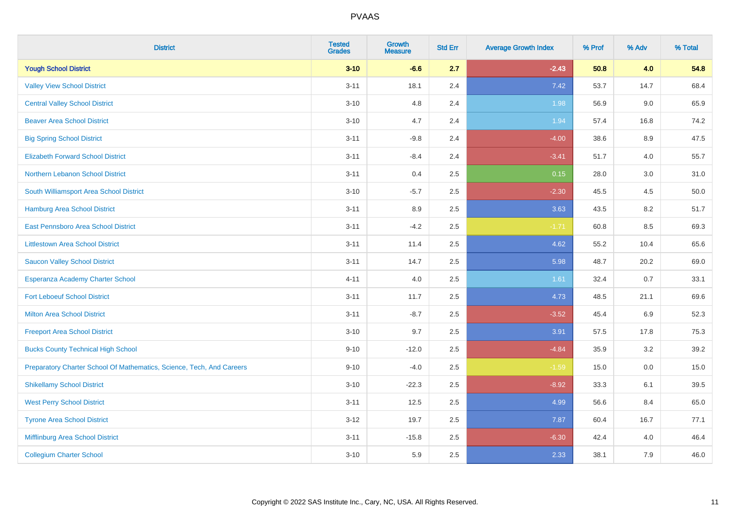| <b>District</b>                                                       | <b>Tested</b><br><b>Grades</b> | <b>Growth</b><br><b>Measure</b> | <b>Std Err</b> | <b>Average Growth Index</b> | % Prof | % Adv | % Total |
|-----------------------------------------------------------------------|--------------------------------|---------------------------------|----------------|-----------------------------|--------|-------|---------|
| <b>Yough School District</b>                                          | $3 - 10$                       | $-6.6$                          | 2.7            | $-2.43$                     | 50.8   | 4.0   | 54.8    |
| <b>Valley View School District</b>                                    | $3 - 11$                       | 18.1                            | 2.4            | 7.42                        | 53.7   | 14.7  | 68.4    |
| <b>Central Valley School District</b>                                 | $3 - 10$                       | 4.8                             | 2.4            | 1.98                        | 56.9   | 9.0   | 65.9    |
| <b>Beaver Area School District</b>                                    | $3 - 10$                       | 4.7                             | 2.4            | 1.94                        | 57.4   | 16.8  | 74.2    |
| <b>Big Spring School District</b>                                     | $3 - 11$                       | $-9.8$                          | 2.4            | $-4.00$                     | 38.6   | 8.9   | 47.5    |
| <b>Elizabeth Forward School District</b>                              | $3 - 11$                       | $-8.4$                          | 2.4            | $-3.41$                     | 51.7   | 4.0   | 55.7    |
| Northern Lebanon School District                                      | $3 - 11$                       | 0.4                             | 2.5            | 0.15                        | 28.0   | 3.0   | 31.0    |
| South Williamsport Area School District                               | $3 - 10$                       | $-5.7$                          | 2.5            | $-2.30$                     | 45.5   | 4.5   | 50.0    |
| Hamburg Area School District                                          | $3 - 11$                       | 8.9                             | 2.5            | 3.63                        | 43.5   | 8.2   | 51.7    |
| East Pennsboro Area School District                                   | $3 - 11$                       | $-4.2$                          | 2.5            | $-1.71$                     | 60.8   | 8.5   | 69.3    |
| <b>Littlestown Area School District</b>                               | $3 - 11$                       | 11.4                            | 2.5            | 4.62                        | 55.2   | 10.4  | 65.6    |
| <b>Saucon Valley School District</b>                                  | $3 - 11$                       | 14.7                            | 2.5            | 5.98                        | 48.7   | 20.2  | 69.0    |
| Esperanza Academy Charter School                                      | $4 - 11$                       | 4.0                             | 2.5            | 1.61                        | 32.4   | 0.7   | 33.1    |
| <b>Fort Leboeuf School District</b>                                   | $3 - 11$                       | 11.7                            | 2.5            | 4.73                        | 48.5   | 21.1  | 69.6    |
| <b>Milton Area School District</b>                                    | $3 - 11$                       | $-8.7$                          | 2.5            | $-3.52$                     | 45.4   | 6.9   | 52.3    |
| <b>Freeport Area School District</b>                                  | $3 - 10$                       | 9.7                             | 2.5            | 3.91                        | 57.5   | 17.8  | 75.3    |
| <b>Bucks County Technical High School</b>                             | $9 - 10$                       | $-12.0$                         | 2.5            | $-4.84$                     | 35.9   | 3.2   | 39.2    |
| Preparatory Charter School Of Mathematics, Science, Tech, And Careers | $9 - 10$                       | $-4.0$                          | 2.5            | $-1.59$                     | 15.0   | 0.0   | 15.0    |
| <b>Shikellamy School District</b>                                     | $3 - 10$                       | $-22.3$                         | 2.5            | $-8.92$                     | 33.3   | 6.1   | 39.5    |
| <b>West Perry School District</b>                                     | $3 - 11$                       | 12.5                            | 2.5            | 4.99                        | 56.6   | 8.4   | 65.0    |
| <b>Tyrone Area School District</b>                                    | $3 - 12$                       | 19.7                            | 2.5            | 7.87                        | 60.4   | 16.7  | 77.1    |
| Mifflinburg Area School District                                      | $3 - 11$                       | $-15.8$                         | 2.5            | $-6.30$                     | 42.4   | 4.0   | 46.4    |
| <b>Collegium Charter School</b>                                       | $3 - 10$                       | 5.9                             | 2.5            | 2.33                        | 38.1   | 7.9   | 46.0    |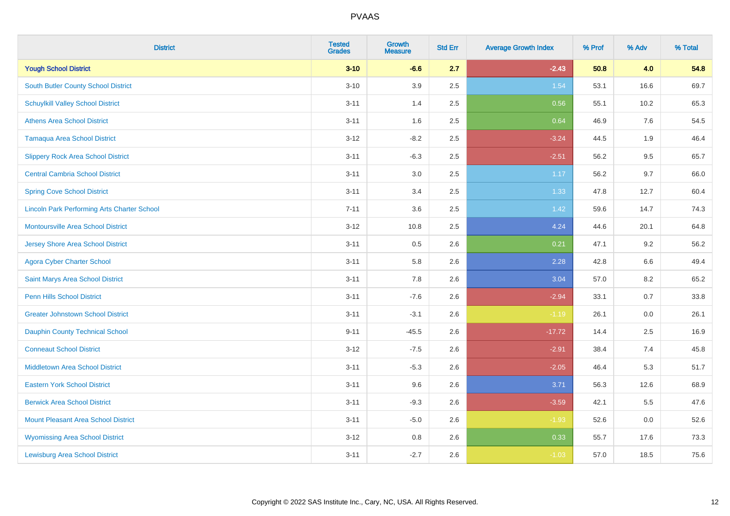| <b>District</b>                                    | <b>Tested</b><br><b>Grades</b> | <b>Growth</b><br><b>Measure</b> | <b>Std Err</b> | <b>Average Growth Index</b> | % Prof | % Adv | % Total |
|----------------------------------------------------|--------------------------------|---------------------------------|----------------|-----------------------------|--------|-------|---------|
| <b>Yough School District</b>                       | $3 - 10$                       | $-6.6$                          | 2.7            | $-2.43$                     | 50.8   | 4.0   | 54.8    |
| South Butler County School District                | $3 - 10$                       | 3.9                             | 2.5            | 1.54                        | 53.1   | 16.6  | 69.7    |
| <b>Schuylkill Valley School District</b>           | $3 - 11$                       | 1.4                             | 2.5            | 0.56                        | 55.1   | 10.2  | 65.3    |
| <b>Athens Area School District</b>                 | $3 - 11$                       | 1.6                             | 2.5            | 0.64                        | 46.9   | 7.6   | 54.5    |
| <b>Tamaqua Area School District</b>                | $3 - 12$                       | $-8.2$                          | 2.5            | $-3.24$                     | 44.5   | 1.9   | 46.4    |
| <b>Slippery Rock Area School District</b>          | $3 - 11$                       | $-6.3$                          | 2.5            | $-2.51$                     | 56.2   | 9.5   | 65.7    |
| <b>Central Cambria School District</b>             | $3 - 11$                       | $3.0\,$                         | 2.5            | 1.17                        | 56.2   | 9.7   | 66.0    |
| <b>Spring Cove School District</b>                 | $3 - 11$                       | 3.4                             | 2.5            | 1.33                        | 47.8   | 12.7  | 60.4    |
| <b>Lincoln Park Performing Arts Charter School</b> | $7 - 11$                       | 3.6                             | 2.5            | 1.42                        | 59.6   | 14.7  | 74.3    |
| <b>Montoursville Area School District</b>          | $3-12$                         | 10.8                            | 2.5            | 4.24                        | 44.6   | 20.1  | 64.8    |
| <b>Jersey Shore Area School District</b>           | $3 - 11$                       | 0.5                             | 2.6            | 0.21                        | 47.1   | 9.2   | 56.2    |
| <b>Agora Cyber Charter School</b>                  | $3 - 11$                       | 5.8                             | 2.6            | 2.28                        | 42.8   | 6.6   | 49.4    |
| Saint Marys Area School District                   | $3 - 11$                       | 7.8                             | 2.6            | 3.04                        | 57.0   | 8.2   | 65.2    |
| Penn Hills School District                         | $3 - 11$                       | $-7.6$                          | 2.6            | $-2.94$                     | 33.1   | 0.7   | 33.8    |
| <b>Greater Johnstown School District</b>           | $3 - 11$                       | $-3.1$                          | 2.6            | $-1.19$                     | 26.1   | 0.0   | 26.1    |
| <b>Dauphin County Technical School</b>             | $9 - 11$                       | $-45.5$                         | 2.6            | $-17.72$                    | 14.4   | 2.5   | 16.9    |
| <b>Conneaut School District</b>                    | $3-12$                         | $-7.5$                          | 2.6            | $-2.91$                     | 38.4   | 7.4   | 45.8    |
| <b>Middletown Area School District</b>             | $3 - 11$                       | $-5.3$                          | 2.6            | $-2.05$                     | 46.4   | 5.3   | 51.7    |
| <b>Eastern York School District</b>                | $3 - 11$                       | 9.6                             | 2.6            | 3.71                        | 56.3   | 12.6  | 68.9    |
| <b>Berwick Area School District</b>                | $3 - 11$                       | $-9.3$                          | 2.6            | $-3.59$                     | 42.1   | 5.5   | 47.6    |
| <b>Mount Pleasant Area School District</b>         | $3 - 11$                       | $-5.0$                          | 2.6            | $-1.93$                     | 52.6   | 0.0   | 52.6    |
| <b>Wyomissing Area School District</b>             | $3 - 12$                       | $0.8\,$                         | 2.6            | 0.33                        | 55.7   | 17.6  | 73.3    |
| <b>Lewisburg Area School District</b>              | $3 - 11$                       | $-2.7$                          | 2.6            | $-1.03$                     | 57.0   | 18.5  | 75.6    |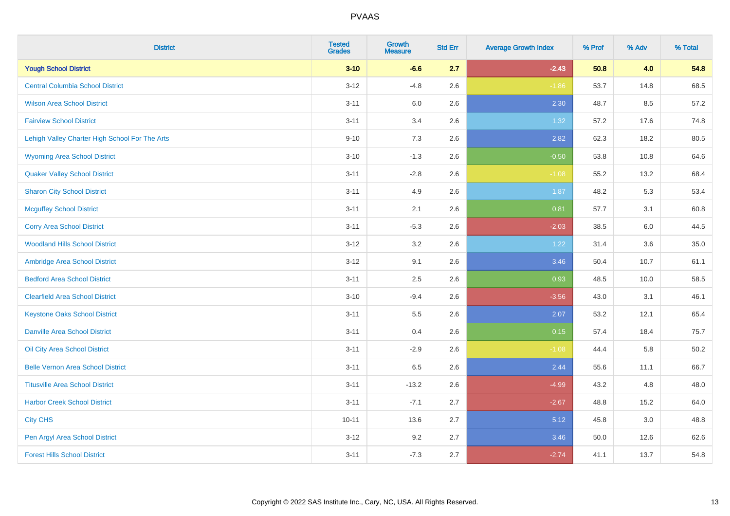| <b>District</b>                                | <b>Tested</b><br><b>Grades</b> | <b>Growth</b><br><b>Measure</b> | <b>Std Err</b> | <b>Average Growth Index</b> | % Prof | % Adv | % Total |
|------------------------------------------------|--------------------------------|---------------------------------|----------------|-----------------------------|--------|-------|---------|
| <b>Yough School District</b>                   | $3 - 10$                       | $-6.6$                          | 2.7            | $-2.43$                     | 50.8   | 4.0   | 54.8    |
| <b>Central Columbia School District</b>        | $3 - 12$                       | $-4.8$                          | 2.6            | $-1.86$                     | 53.7   | 14.8  | 68.5    |
| <b>Wilson Area School District</b>             | $3 - 11$                       | 6.0                             | 2.6            | 2.30                        | 48.7   | 8.5   | 57.2    |
| <b>Fairview School District</b>                | $3 - 11$                       | 3.4                             | 2.6            | 1.32                        | 57.2   | 17.6  | 74.8    |
| Lehigh Valley Charter High School For The Arts | $9 - 10$                       | 7.3                             | 2.6            | 2.82                        | 62.3   | 18.2  | 80.5    |
| <b>Wyoming Area School District</b>            | $3 - 10$                       | $-1.3$                          | 2.6            | $-0.50$                     | 53.8   | 10.8  | 64.6    |
| <b>Quaker Valley School District</b>           | $3 - 11$                       | $-2.8$                          | 2.6            | $-1.08$                     | 55.2   | 13.2  | 68.4    |
| <b>Sharon City School District</b>             | $3 - 11$                       | 4.9                             | 2.6            | 1.87                        | 48.2   | 5.3   | 53.4    |
| <b>Mcguffey School District</b>                | $3 - 11$                       | 2.1                             | 2.6            | 0.81                        | 57.7   | 3.1   | 60.8    |
| <b>Corry Area School District</b>              | $3 - 11$                       | $-5.3$                          | 2.6            | $-2.03$                     | 38.5   | 6.0   | 44.5    |
| <b>Woodland Hills School District</b>          | $3 - 12$                       | 3.2                             | 2.6            | 1.22                        | 31.4   | 3.6   | 35.0    |
| Ambridge Area School District                  | $3-12$                         | 9.1                             | 2.6            | 3.46                        | 50.4   | 10.7  | 61.1    |
| <b>Bedford Area School District</b>            | $3 - 11$                       | 2.5                             | 2.6            | 0.93                        | 48.5   | 10.0  | 58.5    |
| <b>Clearfield Area School District</b>         | $3 - 10$                       | $-9.4$                          | 2.6            | $-3.56$                     | 43.0   | 3.1   | 46.1    |
| <b>Keystone Oaks School District</b>           | $3 - 11$                       | 5.5                             | 2.6            | 2.07                        | 53.2   | 12.1  | 65.4    |
| <b>Danville Area School District</b>           | $3 - 11$                       | 0.4                             | 2.6            | 0.15                        | 57.4   | 18.4  | 75.7    |
| Oil City Area School District                  | $3 - 11$                       | $-2.9$                          | 2.6            | $-1.08$                     | 44.4   | 5.8   | 50.2    |
| <b>Belle Vernon Area School District</b>       | $3 - 11$                       | 6.5                             | 2.6            | 2.44                        | 55.6   | 11.1  | 66.7    |
| <b>Titusville Area School District</b>         | $3 - 11$                       | $-13.2$                         | 2.6            | $-4.99$                     | 43.2   | 4.8   | 48.0    |
| <b>Harbor Creek School District</b>            | $3 - 11$                       | $-7.1$                          | 2.7            | $-2.67$                     | 48.8   | 15.2  | 64.0    |
| <b>City CHS</b>                                | $10 - 11$                      | 13.6                            | 2.7            | 5.12                        | 45.8   | 3.0   | 48.8    |
| Pen Argyl Area School District                 | $3 - 12$                       | 9.2                             | 2.7            | 3.46                        | 50.0   | 12.6  | 62.6    |
| <b>Forest Hills School District</b>            | $3 - 11$                       | $-7.3$                          | 2.7            | $-2.74$                     | 41.1   | 13.7  | 54.8    |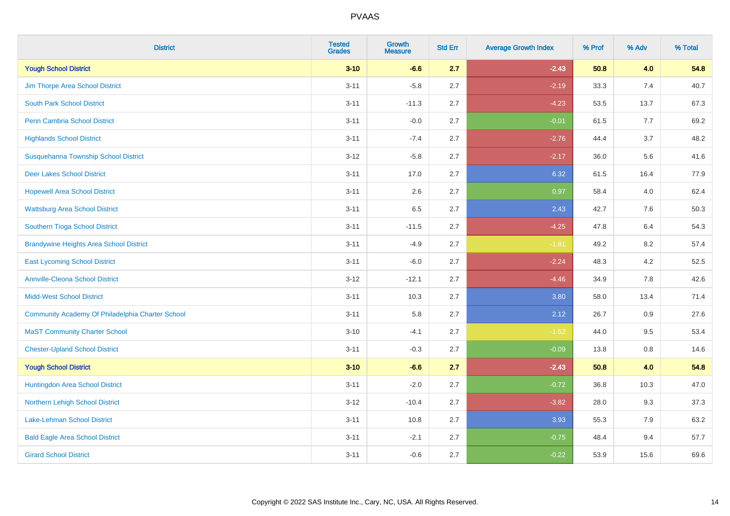| <b>District</b>                                  | <b>Tested</b><br><b>Grades</b> | <b>Growth</b><br><b>Measure</b> | <b>Std Err</b> | <b>Average Growth Index</b> | % Prof | % Adv | % Total |
|--------------------------------------------------|--------------------------------|---------------------------------|----------------|-----------------------------|--------|-------|---------|
| <b>Yough School District</b>                     | $3 - 10$                       | $-6.6$                          | 2.7            | $-2.43$                     | 50.8   | 4.0   | 54.8    |
| Jim Thorpe Area School District                  | $3 - 11$                       | $-5.8$                          | 2.7            | $-2.19$                     | 33.3   | 7.4   | 40.7    |
| <b>South Park School District</b>                | $3 - 11$                       | $-11.3$                         | 2.7            | $-4.23$                     | 53.5   | 13.7  | 67.3    |
| Penn Cambria School District                     | $3 - 11$                       | $-0.0$                          | 2.7            | $-0.01$                     | 61.5   | 7.7   | 69.2    |
| <b>Highlands School District</b>                 | $3 - 11$                       | $-7.4$                          | 2.7            | $-2.76$                     | 44.4   | 3.7   | 48.2    |
| Susquehanna Township School District             | $3 - 12$                       | $-5.8$                          | 2.7            | $-2.17$                     | 36.0   | 5.6   | 41.6    |
| <b>Deer Lakes School District</b>                | $3 - 11$                       | 17.0                            | 2.7            | 6.32                        | 61.5   | 16.4  | 77.9    |
| <b>Hopewell Area School District</b>             | $3 - 11$                       | 2.6                             | 2.7            | 0.97                        | 58.4   | 4.0   | 62.4    |
| <b>Wattsburg Area School District</b>            | $3 - 11$                       | 6.5                             | 2.7            | 2.43                        | 42.7   | 7.6   | 50.3    |
| Southern Tioga School District                   | $3 - 11$                       | $-11.5$                         | 2.7            | $-4.25$                     | 47.8   | 6.4   | 54.3    |
| <b>Brandywine Heights Area School District</b>   | $3 - 11$                       | $-4.9$                          | 2.7            | $-1.81$                     | 49.2   | 8.2   | 57.4    |
| <b>East Lycoming School District</b>             | $3 - 11$                       | $-6.0$                          | 2.7            | $-2.24$                     | 48.3   | 4.2   | 52.5    |
| <b>Annville-Cleona School District</b>           | $3 - 12$                       | $-12.1$                         | 2.7            | $-4.46$                     | 34.9   | 7.8   | 42.6    |
| <b>Midd-West School District</b>                 | $3 - 11$                       | 10.3                            | 2.7            | 3.80                        | 58.0   | 13.4  | 71.4    |
| Community Academy Of Philadelphia Charter School | $3 - 11$                       | 5.8                             | 2.7            | 2.12                        | 26.7   | 0.9   | 27.6    |
| <b>MaST Community Charter School</b>             | $3 - 10$                       | $-4.1$                          | 2.7            | $-1.52$                     | 44.0   | 9.5   | 53.4    |
| <b>Chester-Upland School District</b>            | $3 - 11$                       | $-0.3$                          | 2.7            | $-0.09$                     | 13.8   | 0.8   | 14.6    |
| <b>Yough School District</b>                     | $3 - 10$                       | $-6.6$                          | 2.7            | $-2.43$                     | 50.8   | 4.0   | 54.8    |
| Huntingdon Area School District                  | $3 - 11$                       | $-2.0$                          | 2.7            | $-0.72$                     | 36.8   | 10.3  | 47.0    |
| Northern Lehigh School District                  | $3 - 12$                       | $-10.4$                         | 2.7            | $-3.82$                     | 28.0   | 9.3   | 37.3    |
| <b>Lake-Lehman School District</b>               | $3 - 11$                       | 10.8                            | 2.7            | 3.93                        | 55.3   | 7.9   | 63.2    |
| <b>Bald Eagle Area School District</b>           | $3 - 11$                       | $-2.1$                          | 2.7            | $-0.75$                     | 48.4   | 9.4   | 57.7    |
| <b>Girard School District</b>                    | $3 - 11$                       | $-0.6$                          | 2.7            | $-0.22$                     | 53.9   | 15.6  | 69.6    |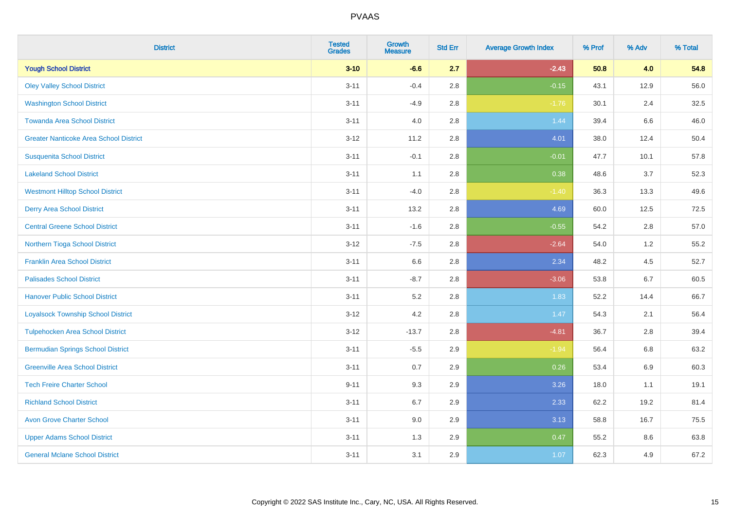| <b>District</b>                               | <b>Tested</b><br><b>Grades</b> | <b>Growth</b><br><b>Measure</b> | <b>Std Err</b> | <b>Average Growth Index</b> | % Prof | % Adv | % Total |
|-----------------------------------------------|--------------------------------|---------------------------------|----------------|-----------------------------|--------|-------|---------|
| <b>Yough School District</b>                  | $3 - 10$                       | $-6.6$                          | 2.7            | $-2.43$                     | 50.8   | 4.0   | 54.8    |
| <b>Oley Valley School District</b>            | $3 - 11$                       | $-0.4$                          | 2.8            | $-0.15$                     | 43.1   | 12.9  | 56.0    |
| <b>Washington School District</b>             | $3 - 11$                       | $-4.9$                          | 2.8            | $-1.76$                     | 30.1   | 2.4   | 32.5    |
| <b>Towanda Area School District</b>           | $3 - 11$                       | 4.0                             | 2.8            | 1.44                        | 39.4   | 6.6   | 46.0    |
| <b>Greater Nanticoke Area School District</b> | $3 - 12$                       | 11.2                            | 2.8            | 4.01                        | 38.0   | 12.4  | 50.4    |
| <b>Susquenita School District</b>             | $3 - 11$                       | $-0.1$                          | 2.8            | $-0.01$                     | 47.7   | 10.1  | 57.8    |
| <b>Lakeland School District</b>               | $3 - 11$                       | 1.1                             | 2.8            | 0.38                        | 48.6   | 3.7   | 52.3    |
| <b>Westmont Hilltop School District</b>       | $3 - 11$                       | $-4.0$                          | 2.8            | $-1.40$                     | 36.3   | 13.3  | 49.6    |
| <b>Derry Area School District</b>             | $3 - 11$                       | 13.2                            | 2.8            | 4.69                        | 60.0   | 12.5  | 72.5    |
| <b>Central Greene School District</b>         | $3 - 11$                       | $-1.6$                          | 2.8            | $-0.55$                     | 54.2   | 2.8   | 57.0    |
| Northern Tioga School District                | $3 - 12$                       | $-7.5$                          | 2.8            | $-2.64$                     | 54.0   | 1.2   | 55.2    |
| <b>Franklin Area School District</b>          | $3 - 11$                       | 6.6                             | 2.8            | 2.34                        | 48.2   | 4.5   | 52.7    |
| <b>Palisades School District</b>              | $3 - 11$                       | $-8.7$                          | 2.8            | $-3.06$                     | 53.8   | 6.7   | 60.5    |
| <b>Hanover Public School District</b>         | $3 - 11$                       | $5.2\,$                         | 2.8            | 1.83                        | 52.2   | 14.4  | 66.7    |
| <b>Loyalsock Township School District</b>     | $3 - 12$                       | 4.2                             | 2.8            | 1.47                        | 54.3   | 2.1   | 56.4    |
| <b>Tulpehocken Area School District</b>       | $3 - 12$                       | $-13.7$                         | 2.8            | $-4.81$                     | 36.7   | 2.8   | 39.4    |
| <b>Bermudian Springs School District</b>      | $3 - 11$                       | $-5.5$                          | 2.9            | $-1.94$                     | 56.4   | 6.8   | 63.2    |
| <b>Greenville Area School District</b>        | $3 - 11$                       | 0.7                             | 2.9            | 0.26                        | 53.4   | 6.9   | 60.3    |
| <b>Tech Freire Charter School</b>             | $9 - 11$                       | 9.3                             | 2.9            | 3.26                        | 18.0   | 1.1   | 19.1    |
| <b>Richland School District</b>               | $3 - 11$                       | 6.7                             | 2.9            | 2.33                        | 62.2   | 19.2  | 81.4    |
| <b>Avon Grove Charter School</b>              | $3 - 11$                       | 9.0                             | 2.9            | 3.13                        | 58.8   | 16.7  | 75.5    |
| <b>Upper Adams School District</b>            | $3 - 11$                       | 1.3                             | 2.9            | 0.47                        | 55.2   | 8.6   | 63.8    |
| <b>General Mclane School District</b>         | $3 - 11$                       | 3.1                             | 2.9            | 1.07                        | 62.3   | 4.9   | 67.2    |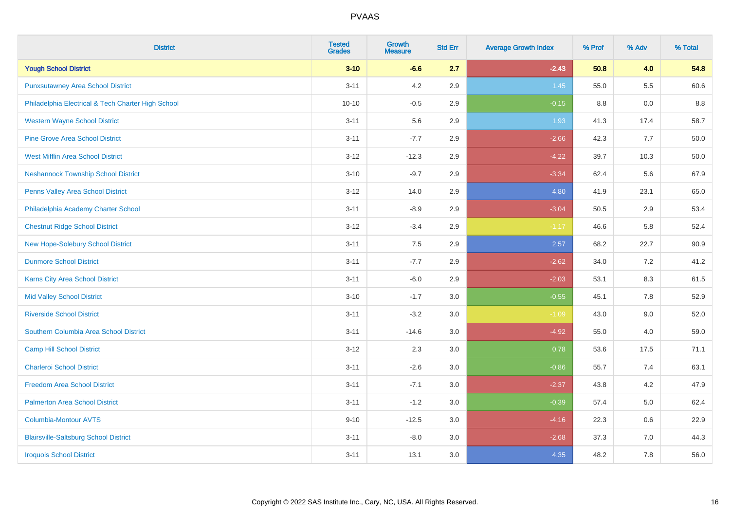| <b>District</b>                                    | <b>Tested</b><br><b>Grades</b> | <b>Growth</b><br><b>Measure</b> | <b>Std Err</b> | <b>Average Growth Index</b> | % Prof | % Adv   | % Total |
|----------------------------------------------------|--------------------------------|---------------------------------|----------------|-----------------------------|--------|---------|---------|
| <b>Yough School District</b>                       | $3 - 10$                       | $-6.6$                          | 2.7            | $-2.43$                     | 50.8   | 4.0     | 54.8    |
| <b>Punxsutawney Area School District</b>           | $3 - 11$                       | 4.2                             | 2.9            | 1.45                        | 55.0   | $5.5\,$ | 60.6    |
| Philadelphia Electrical & Tech Charter High School | $10 - 10$                      | $-0.5$                          | 2.9            | $-0.15$                     | 8.8    | 0.0     | 8.8     |
| <b>Western Wayne School District</b>               | $3 - 11$                       | 5.6                             | 2.9            | 1.93                        | 41.3   | 17.4    | 58.7    |
| <b>Pine Grove Area School District</b>             | $3 - 11$                       | $-7.7$                          | 2.9            | $-2.66$                     | 42.3   | 7.7     | 50.0    |
| <b>West Mifflin Area School District</b>           | $3 - 12$                       | $-12.3$                         | 2.9            | $-4.22$                     | 39.7   | 10.3    | 50.0    |
| <b>Neshannock Township School District</b>         | $3 - 10$                       | $-9.7$                          | 2.9            | $-3.34$                     | 62.4   | 5.6     | 67.9    |
| <b>Penns Valley Area School District</b>           | $3 - 12$                       | 14.0                            | 2.9            | 4.80                        | 41.9   | 23.1    | 65.0    |
| Philadelphia Academy Charter School                | $3 - 11$                       | $-8.9$                          | 2.9            | $-3.04$                     | 50.5   | 2.9     | 53.4    |
| <b>Chestnut Ridge School District</b>              | $3 - 12$                       | $-3.4$                          | 2.9            | $-1.17$                     | 46.6   | 5.8     | 52.4    |
| New Hope-Solebury School District                  | $3 - 11$                       | 7.5                             | 2.9            | 2.57                        | 68.2   | 22.7    | 90.9    |
| <b>Dunmore School District</b>                     | $3 - 11$                       | $-7.7$                          | 2.9            | $-2.62$                     | 34.0   | 7.2     | 41.2    |
| Karns City Area School District                    | $3 - 11$                       | $-6.0$                          | 2.9            | $-2.03$                     | 53.1   | $8.3\,$ | 61.5    |
| <b>Mid Valley School District</b>                  | $3 - 10$                       | $-1.7$                          | 3.0            | $-0.55$                     | 45.1   | $7.8\,$ | 52.9    |
| <b>Riverside School District</b>                   | $3 - 11$                       | $-3.2$                          | 3.0            | $-1.09$                     | 43.0   | 9.0     | 52.0    |
| Southern Columbia Area School District             | $3 - 11$                       | $-14.6$                         | 3.0            | $-4.92$                     | 55.0   | 4.0     | 59.0    |
| <b>Camp Hill School District</b>                   | $3 - 12$                       | 2.3                             | 3.0            | 0.78                        | 53.6   | 17.5    | 71.1    |
| <b>Charleroi School District</b>                   | $3 - 11$                       | $-2.6$                          | 3.0            | $-0.86$                     | 55.7   | 7.4     | 63.1    |
| <b>Freedom Area School District</b>                | $3 - 11$                       | $-7.1$                          | 3.0            | $-2.37$                     | 43.8   | 4.2     | 47.9    |
| <b>Palmerton Area School District</b>              | $3 - 11$                       | $-1.2$                          | 3.0            | $-0.39$                     | 57.4   | 5.0     | 62.4    |
| <b>Columbia-Montour AVTS</b>                       | $9 - 10$                       | $-12.5$                         | 3.0            | $-4.16$                     | 22.3   | 0.6     | 22.9    |
| <b>Blairsville-Saltsburg School District</b>       | $3 - 11$                       | $-8.0$                          | 3.0            | $-2.68$                     | 37.3   | 7.0     | 44.3    |
| <b>Iroquois School District</b>                    | $3 - 11$                       | 13.1                            | 3.0            | 4.35                        | 48.2   | 7.8     | 56.0    |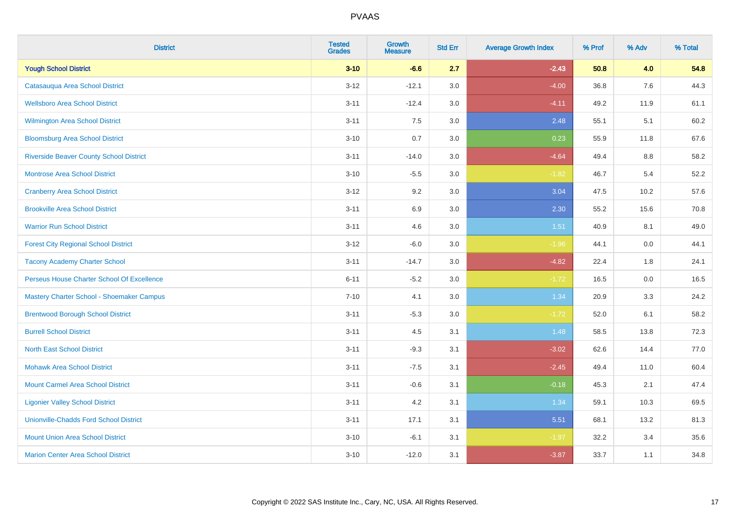| <b>District</b>                                  | <b>Tested</b><br><b>Grades</b> | <b>Growth</b><br><b>Measure</b> | <b>Std Err</b> | <b>Average Growth Index</b> | % Prof | % Adv | % Total |
|--------------------------------------------------|--------------------------------|---------------------------------|----------------|-----------------------------|--------|-------|---------|
| <b>Yough School District</b>                     | $3 - 10$                       | $-6.6$                          | 2.7            | $-2.43$                     | 50.8   | 4.0   | 54.8    |
| Catasauqua Area School District                  | $3 - 12$                       | $-12.1$                         | 3.0            | $-4.00$                     | 36.8   | 7.6   | 44.3    |
| <b>Wellsboro Area School District</b>            | $3 - 11$                       | $-12.4$                         | 3.0            | $-4.11$                     | 49.2   | 11.9  | 61.1    |
| Wilmington Area School District                  | $3 - 11$                       | $7.5\,$                         | 3.0            | 2.48                        | 55.1   | 5.1   | 60.2    |
| <b>Bloomsburg Area School District</b>           | $3 - 10$                       | 0.7                             | 3.0            | 0.23                        | 55.9   | 11.8  | 67.6    |
| <b>Riverside Beaver County School District</b>   | $3 - 11$                       | $-14.0$                         | 3.0            | $-4.64$                     | 49.4   | 8.8   | 58.2    |
| Montrose Area School District                    | $3 - 10$                       | $-5.5$                          | 3.0            | $-1.82$                     | 46.7   | 5.4   | 52.2    |
| <b>Cranberry Area School District</b>            | $3 - 12$                       | 9.2                             | 3.0            | 3.04                        | 47.5   | 10.2  | 57.6    |
| <b>Brookville Area School District</b>           | $3 - 11$                       | 6.9                             | 3.0            | 2.30                        | 55.2   | 15.6  | 70.8    |
| <b>Warrior Run School District</b>               | $3 - 11$                       | 4.6                             | 3.0            | 1.51                        | 40.9   | 8.1   | 49.0    |
| <b>Forest City Regional School District</b>      | $3 - 12$                       | $-6.0$                          | 3.0            | $-1.96$                     | 44.1   | 0.0   | 44.1    |
| <b>Tacony Academy Charter School</b>             | $3 - 11$                       | $-14.7$                         | 3.0            | $-4.82$                     | 22.4   | 1.8   | 24.1    |
| Perseus House Charter School Of Excellence       | $6 - 11$                       | $-5.2$                          | 3.0            | $-1.72$                     | 16.5   | 0.0   | 16.5    |
| <b>Mastery Charter School - Shoemaker Campus</b> | $7 - 10$                       | 4.1                             | 3.0            | 1.34                        | 20.9   | 3.3   | 24.2    |
| <b>Brentwood Borough School District</b>         | $3 - 11$                       | $-5.3$                          | 3.0            | $-1.72$                     | 52.0   | 6.1   | 58.2    |
| <b>Burrell School District</b>                   | $3 - 11$                       | 4.5                             | 3.1            | 1.48                        | 58.5   | 13.8  | 72.3    |
| <b>North East School District</b>                | $3 - 11$                       | $-9.3$                          | 3.1            | $-3.02$                     | 62.6   | 14.4  | 77.0    |
| <b>Mohawk Area School District</b>               | $3 - 11$                       | $-7.5$                          | 3.1            | $-2.45$                     | 49.4   | 11.0  | 60.4    |
| <b>Mount Carmel Area School District</b>         | $3 - 11$                       | $-0.6$                          | 3.1            | $-0.18$                     | 45.3   | 2.1   | 47.4    |
| <b>Ligonier Valley School District</b>           | $3 - 11$                       | 4.2                             | 3.1            | 1.34                        | 59.1   | 10.3  | 69.5    |
| <b>Unionville-Chadds Ford School District</b>    | $3 - 11$                       | 17.1                            | 3.1            | 5.51                        | 68.1   | 13.2  | 81.3    |
| <b>Mount Union Area School District</b>          | $3 - 10$                       | $-6.1$                          | 3.1            | $-1.97$                     | 32.2   | 3.4   | 35.6    |
| <b>Marion Center Area School District</b>        | $3 - 10$                       | $-12.0$                         | 3.1            | $-3.87$                     | 33.7   | 1.1   | 34.8    |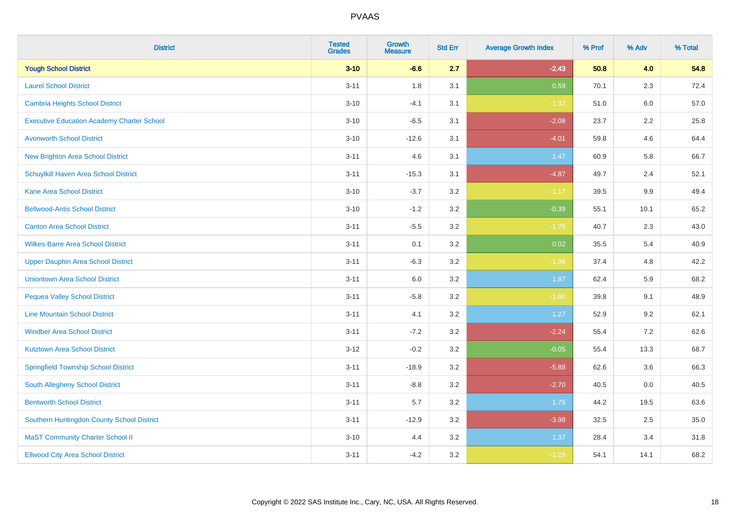| <b>District</b>                                   | <b>Tested</b><br><b>Grades</b> | Growth<br><b>Measure</b> | <b>Std Err</b> | <b>Average Growth Index</b> | % Prof | % Adv   | % Total |
|---------------------------------------------------|--------------------------------|--------------------------|----------------|-----------------------------|--------|---------|---------|
| <b>Yough School District</b>                      | $3 - 10$                       | $-6.6$                   | 2.7            | $-2.43$                     | 50.8   | 4.0     | 54.8    |
| <b>Laurel School District</b>                     | $3 - 11$                       | 1.8                      | 3.1            | 0.59                        | 70.1   | 2.3     | 72.4    |
| Cambria Heights School District                   | $3 - 10$                       | $-4.1$                   | 3.1            | $-1.32$                     | 51.0   | 6.0     | 57.0    |
| <b>Executive Education Academy Charter School</b> | $3 - 10$                       | $-6.5$                   | 3.1            | $-2.08$                     | 23.7   | $2.2\,$ | 25.8    |
| <b>Avonworth School District</b>                  | $3 - 10$                       | $-12.6$                  | 3.1            | $-4.01$                     | 59.8   | 4.6     | 64.4    |
| <b>New Brighton Area School District</b>          | $3 - 11$                       | 4.6                      | 3.1            | 1.47                        | 60.9   | 5.8     | 66.7    |
| Schuylkill Haven Area School District             | $3 - 11$                       | $-15.3$                  | 3.1            | $-4.87$                     | 49.7   | 2.4     | 52.1    |
| <b>Kane Area School District</b>                  | $3 - 10$                       | $-3.7$                   | 3.2            | $-1.17$                     | 39.5   | 9.9     | 49.4    |
| <b>Bellwood-Antis School District</b>             | $3 - 10$                       | $-1.2$                   | 3.2            | $-0.39$                     | 55.1   | 10.1    | 65.2    |
| <b>Canton Area School District</b>                | $3 - 11$                       | $-5.5$                   | 3.2            | $-1.75$                     | 40.7   | 2.3     | 43.0    |
| <b>Wilkes-Barre Area School District</b>          | $3 - 11$                       | 0.1                      | 3.2            | 0.02                        | 35.5   | 5.4     | 40.9    |
| <b>Upper Dauphin Area School District</b>         | $3 - 11$                       | $-6.3$                   | 3.2            | $-1.98$                     | 37.4   | 4.8     | 42.2    |
| <b>Uniontown Area School District</b>             | $3 - 11$                       | 6.0                      | $3.2\,$        | 1.87                        | 62.4   | 5.9     | 68.2    |
| <b>Pequea Valley School District</b>              | $3 - 11$                       | $-5.8$                   | 3.2            | $-1.80$                     | 39.8   | 9.1     | 48.9    |
| <b>Line Mountain School District</b>              | $3 - 11$                       | 4.1                      | 3.2            | 1.27                        | 52.9   | 9.2     | 62.1    |
| <b>Windber Area School District</b>               | $3 - 11$                       | $-7.2$                   | 3.2            | $-2.24$                     | 55.4   | 7.2     | 62.6    |
| <b>Kutztown Area School District</b>              | $3 - 12$                       | $-0.2$                   | 3.2            | $-0.05$                     | 55.4   | 13.3    | 68.7    |
| <b>Springfield Township School District</b>       | $3 - 11$                       | $-18.9$                  | 3.2            | $-5.88$                     | 62.6   | 3.6     | 66.3    |
| South Allegheny School District                   | $3 - 11$                       | $-8.8$                   | 3.2            | $-2.70$                     | 40.5   | 0.0     | 40.5    |
| <b>Bentworth School District</b>                  | $3 - 11$                       | 5.7                      | 3.2            | 1.75                        | 44.2   | 19.5    | 63.6    |
| Southern Huntingdon County School District        | $3 - 11$                       | $-12.9$                  | 3.2            | $-3.98$                     | 32.5   | 2.5     | 35.0    |
| <b>MaST Community Charter School II</b>           | $3 - 10$                       | 4.4                      | 3.2            | 1.37                        | 28.4   | 3.4     | 31.8    |
| <b>Ellwood City Area School District</b>          | $3 - 11$                       | $-4.2$                   | 3.2            | $-1.29$                     | 54.1   | 14.1    | 68.2    |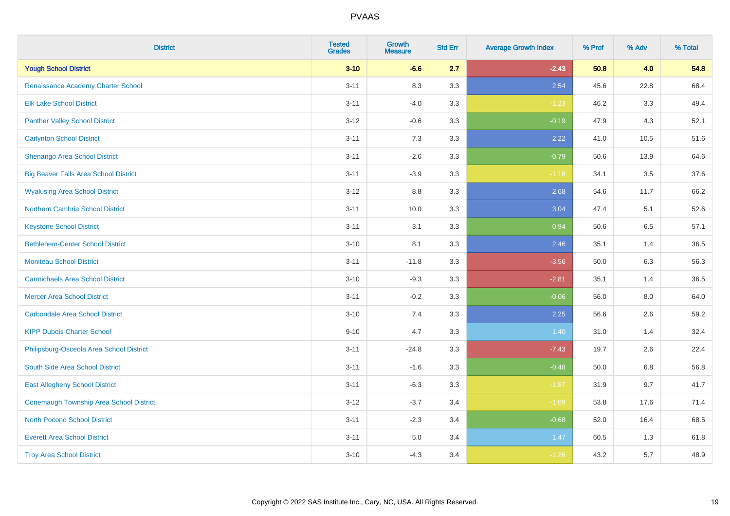| <b>District</b>                              | <b>Tested</b><br><b>Grades</b> | <b>Growth</b><br><b>Measure</b> | <b>Std Err</b> | <b>Average Growth Index</b> | % Prof | % Adv | % Total |
|----------------------------------------------|--------------------------------|---------------------------------|----------------|-----------------------------|--------|-------|---------|
| <b>Yough School District</b>                 | $3 - 10$                       | $-6.6$                          | 2.7            | $-2.43$                     | 50.8   | 4.0   | 54.8    |
| Renaissance Academy Charter School           | $3 - 11$                       | 8.3                             | 3.3            | 2.54                        | 45.6   | 22.8  | 68.4    |
| <b>Elk Lake School District</b>              | $3 - 11$                       | $-4.0$                          | 3.3            | $-1.23$                     | 46.2   | 3.3   | 49.4    |
| <b>Panther Valley School District</b>        | $3 - 12$                       | $-0.6$                          | 3.3            | $-0.19$                     | 47.9   | 4.3   | 52.1    |
| <b>Carlynton School District</b>             | $3 - 11$                       | 7.3                             | 3.3            | 2.22                        | 41.0   | 10.5  | 51.6    |
| Shenango Area School District                | $3 - 11$                       | $-2.6$                          | 3.3            | $-0.79$                     | 50.6   | 13.9  | 64.6    |
| <b>Big Beaver Falls Area School District</b> | $3 - 11$                       | $-3.9$                          | 3.3            | $-1.18$                     | 34.1   | 3.5   | 37.6    |
| <b>Wyalusing Area School District</b>        | $3 - 12$                       | 8.8                             | 3.3            | 2.68                        | 54.6   | 11.7  | 66.2    |
| <b>Northern Cambria School District</b>      | $3 - 11$                       | 10.0                            | 3.3            | 3.04                        | 47.4   | 5.1   | 52.6    |
| <b>Keystone School District</b>              | $3 - 11$                       | 3.1                             | 3.3            | 0.94                        | 50.6   | 6.5   | 57.1    |
| <b>Bethlehem-Center School District</b>      | $3 - 10$                       | 8.1                             | 3.3            | 2.46                        | 35.1   | 1.4   | 36.5    |
| <b>Moniteau School District</b>              | $3 - 11$                       | $-11.8$                         | 3.3            | $-3.56$                     | 50.0   | 6.3   | 56.3    |
| <b>Carmichaels Area School District</b>      | $3 - 10$                       | $-9.3$                          | 3.3            | $-2.81$                     | 35.1   | 1.4   | 36.5    |
| <b>Mercer Area School District</b>           | $3 - 11$                       | $-0.2$                          | 3.3            | $-0.06$                     | 56.0   | 8.0   | 64.0    |
| <b>Carbondale Area School District</b>       | $3 - 10$                       | 7.4                             | 3.3            | 2.25                        | 56.6   | 2.6   | 59.2    |
| <b>KIPP Dubois Charter School</b>            | $9 - 10$                       | 4.7                             | 3.3            | 1.40                        | 31.0   | 1.4   | 32.4    |
| Philipsburg-Osceola Area School District     | $3 - 11$                       | $-24.8$                         | 3.3            | $-7.43$                     | 19.7   | 2.6   | 22.4    |
| South Side Area School District              | $3 - 11$                       | $-1.6$                          | 3.3            | $-0.48$                     | 50.0   | 6.8   | 56.8    |
| <b>East Allegheny School District</b>        | $3 - 11$                       | $-6.3$                          | 3.3            | $-1.87$                     | 31.9   | 9.7   | 41.7    |
| Conemaugh Township Area School District      | $3 - 12$                       | $-3.7$                          | 3.4            | $-1.09$                     | 53.8   | 17.6  | 71.4    |
| <b>North Pocono School District</b>          | $3 - 11$                       | $-2.3$                          | 3.4            | $-0.68$                     | 52.0   | 16.4  | 68.5    |
| <b>Everett Area School District</b>          | $3 - 11$                       | $5.0\,$                         | 3.4            | 1.47                        | 60.5   | 1.3   | 61.8    |
| <b>Troy Area School District</b>             | $3 - 10$                       | $-4.3$                          | 3.4            | $-1.26$                     | 43.2   | 5.7   | 48.9    |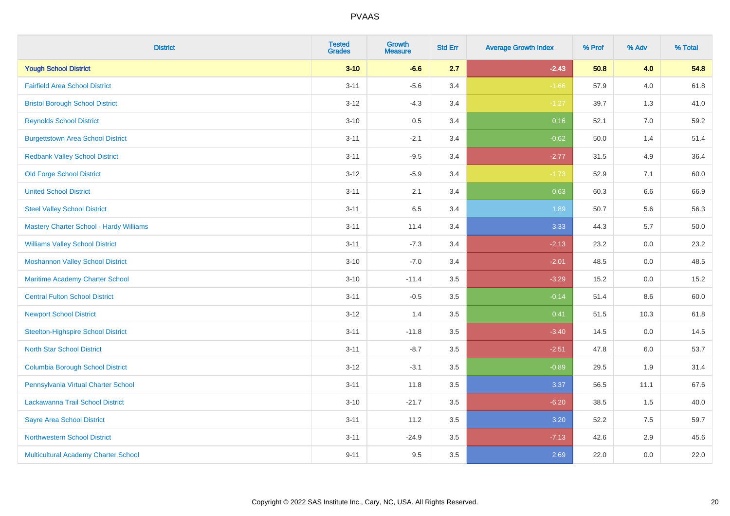| <b>District</b>                             | <b>Tested</b><br><b>Grades</b> | <b>Growth</b><br><b>Measure</b> | <b>Std Err</b> | <b>Average Growth Index</b> | % Prof | % Adv   | % Total  |
|---------------------------------------------|--------------------------------|---------------------------------|----------------|-----------------------------|--------|---------|----------|
| <b>Yough School District</b>                | $3 - 10$                       | $-6.6$                          | 2.7            | $-2.43$                     | 50.8   | 4.0     | 54.8     |
| <b>Fairfield Area School District</b>       | $3 - 11$                       | $-5.6$                          | 3.4            | $-1.66$                     | 57.9   | 4.0     | 61.8     |
| <b>Bristol Borough School District</b>      | $3 - 12$                       | $-4.3$                          | 3.4            | $-1.27$                     | 39.7   | 1.3     | 41.0     |
| <b>Reynolds School District</b>             | $3 - 10$                       | 0.5                             | 3.4            | 0.16                        | 52.1   | 7.0     | 59.2     |
| <b>Burgettstown Area School District</b>    | $3 - 11$                       | $-2.1$                          | 3.4            | $-0.62$                     | 50.0   | 1.4     | 51.4     |
| <b>Redbank Valley School District</b>       | $3 - 11$                       | $-9.5$                          | 3.4            | $-2.77$                     | 31.5   | 4.9     | 36.4     |
| <b>Old Forge School District</b>            | $3 - 12$                       | $-5.9$                          | 3.4            | $-1.73$                     | 52.9   | 7.1     | 60.0     |
| <b>United School District</b>               | $3 - 11$                       | 2.1                             | 3.4            | 0.63                        | 60.3   | 6.6     | 66.9     |
| <b>Steel Valley School District</b>         | $3 - 11$                       | 6.5                             | 3.4            | 1.89                        | 50.7   | 5.6     | 56.3     |
| Mastery Charter School - Hardy Williams     | $3 - 11$                       | 11.4                            | 3.4            | 3.33                        | 44.3   | 5.7     | $50.0\,$ |
| <b>Williams Valley School District</b>      | $3 - 11$                       | $-7.3$                          | 3.4            | $-2.13$                     | 23.2   | 0.0     | 23.2     |
| <b>Moshannon Valley School District</b>     | $3 - 10$                       | $-7.0$                          | 3.4            | $-2.01$                     | 48.5   | 0.0     | 48.5     |
| Maritime Academy Charter School             | $3 - 10$                       | $-11.4$                         | 3.5            | $-3.29$                     | 15.2   | 0.0     | 15.2     |
| <b>Central Fulton School District</b>       | $3 - 11$                       | $-0.5$                          | 3.5            | $-0.14$                     | 51.4   | $8.6\,$ | 60.0     |
| <b>Newport School District</b>              | $3 - 12$                       | 1.4                             | 3.5            | 0.41                        | 51.5   | 10.3    | 61.8     |
| <b>Steelton-Highspire School District</b>   | $3 - 11$                       | $-11.8$                         | 3.5            | $-3.40$                     | 14.5   | 0.0     | 14.5     |
| <b>North Star School District</b>           | $3 - 11$                       | $-8.7$                          | 3.5            | $-2.51$                     | 47.8   | 6.0     | 53.7     |
| <b>Columbia Borough School District</b>     | $3 - 12$                       | $-3.1$                          | 3.5            | $-0.89$                     | 29.5   | 1.9     | 31.4     |
| Pennsylvania Virtual Charter School         | $3 - 11$                       | 11.8                            | 3.5            | 3.37                        | 56.5   | 11.1    | 67.6     |
| Lackawanna Trail School District            | $3 - 10$                       | $-21.7$                         | 3.5            | $-6.20$                     | 38.5   | 1.5     | 40.0     |
| <b>Sayre Area School District</b>           | $3 - 11$                       | 11.2                            | 3.5            | 3.20                        | 52.2   | 7.5     | 59.7     |
| <b>Northwestern School District</b>         | $3 - 11$                       | $-24.9$                         | 3.5            | $-7.13$                     | 42.6   | 2.9     | 45.6     |
| <b>Multicultural Academy Charter School</b> | $9 - 11$                       | 9.5                             | 3.5            | 2.69                        | 22.0   | 0.0     | 22.0     |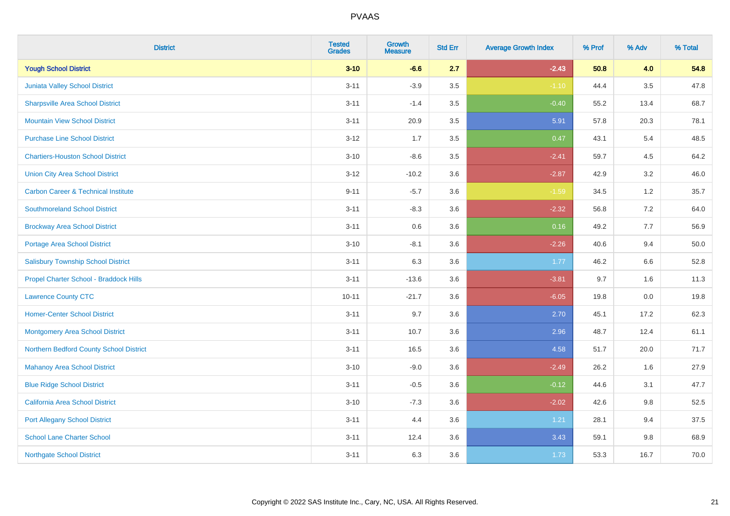| <b>District</b>                                | <b>Tested</b><br><b>Grades</b> | Growth<br><b>Measure</b> | <b>Std Err</b> | <b>Average Growth Index</b> | % Prof | % Adv   | % Total |
|------------------------------------------------|--------------------------------|--------------------------|----------------|-----------------------------|--------|---------|---------|
| <b>Yough School District</b>                   | $3 - 10$                       | $-6.6$                   | 2.7            | $-2.43$                     | 50.8   | 4.0     | 54.8    |
| Juniata Valley School District                 | $3 - 11$                       | $-3.9$                   | 3.5            | $-1.10$                     | 44.4   | $3.5\,$ | 47.8    |
| <b>Sharpsville Area School District</b>        | $3 - 11$                       | $-1.4$                   | 3.5            | $-0.40$                     | 55.2   | 13.4    | 68.7    |
| <b>Mountain View School District</b>           | $3 - 11$                       | 20.9                     | 3.5            | 5.91                        | 57.8   | 20.3    | 78.1    |
| <b>Purchase Line School District</b>           | $3 - 12$                       | 1.7                      | 3.5            | 0.47                        | 43.1   | 5.4     | 48.5    |
| <b>Chartiers-Houston School District</b>       | $3 - 10$                       | $-8.6$                   | 3.5            | $-2.41$                     | 59.7   | 4.5     | 64.2    |
| <b>Union City Area School District</b>         | $3 - 12$                       | $-10.2$                  | 3.6            | $-2.87$                     | 42.9   | 3.2     | 46.0    |
| <b>Carbon Career &amp; Technical Institute</b> | $9 - 11$                       | $-5.7$                   | 3.6            | $-1.59$                     | 34.5   | 1.2     | 35.7    |
| <b>Southmoreland School District</b>           | $3 - 11$                       | $-8.3$                   | 3.6            | $-2.32$                     | 56.8   | $7.2\,$ | 64.0    |
| <b>Brockway Area School District</b>           | $3 - 11$                       | 0.6                      | 3.6            | 0.16                        | 49.2   | 7.7     | 56.9    |
| <b>Portage Area School District</b>            | $3 - 10$                       | $-8.1$                   | 3.6            | $-2.26$                     | 40.6   | 9.4     | 50.0    |
| <b>Salisbury Township School District</b>      | $3 - 11$                       | 6.3                      | 3.6            | 1.77                        | 46.2   | 6.6     | 52.8    |
| Propel Charter School - Braddock Hills         | $3 - 11$                       | $-13.6$                  | 3.6            | $-3.81$                     | 9.7    | 1.6     | 11.3    |
| <b>Lawrence County CTC</b>                     | $10 - 11$                      | $-21.7$                  | 3.6            | $-6.05$                     | 19.8   | $0.0\,$ | 19.8    |
| <b>Homer-Center School District</b>            | $3 - 11$                       | 9.7                      | 3.6            | 2.70                        | 45.1   | 17.2    | 62.3    |
| Montgomery Area School District                | $3 - 11$                       | 10.7                     | 3.6            | 2.96                        | 48.7   | 12.4    | 61.1    |
| Northern Bedford County School District        | $3 - 11$                       | 16.5                     | 3.6            | 4.58                        | 51.7   | 20.0    | 71.7    |
| <b>Mahanoy Area School District</b>            | $3 - 10$                       | $-9.0$                   | 3.6            | $-2.49$                     | 26.2   | 1.6     | 27.9    |
| <b>Blue Ridge School District</b>              | $3 - 11$                       | $-0.5$                   | 3.6            | $-0.12$                     | 44.6   | 3.1     | 47.7    |
| California Area School District                | $3 - 10$                       | $-7.3$                   | 3.6            | $-2.02$                     | 42.6   | 9.8     | 52.5    |
| <b>Port Allegany School District</b>           | $3 - 11$                       | 4.4                      | 3.6            | 1.21                        | 28.1   | 9.4     | 37.5    |
| <b>School Lane Charter School</b>              | $3 - 11$                       | 12.4                     | 3.6            | 3.43                        | 59.1   | 9.8     | 68.9    |
| <b>Northgate School District</b>               | $3 - 11$                       | 6.3                      | 3.6            | 1.73                        | 53.3   | 16.7    | 70.0    |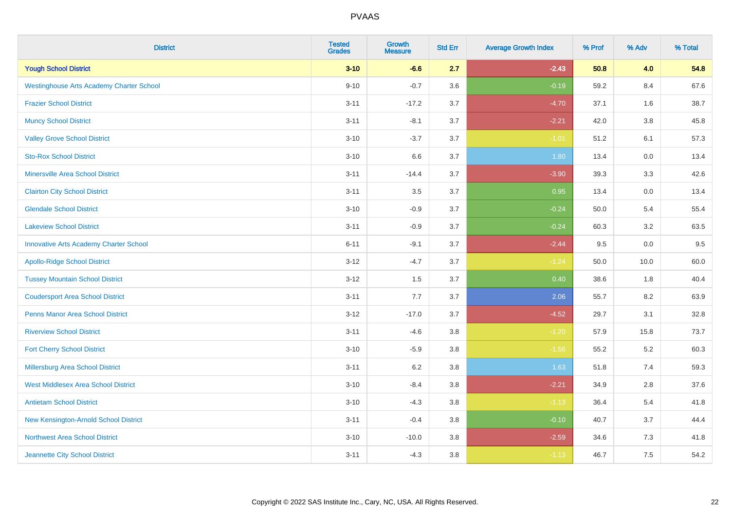| <b>District</b>                                 | <b>Tested</b><br><b>Grades</b> | Growth<br><b>Measure</b> | <b>Std Err</b> | <b>Average Growth Index</b> | % Prof | % Adv   | % Total |
|-------------------------------------------------|--------------------------------|--------------------------|----------------|-----------------------------|--------|---------|---------|
| <b>Yough School District</b>                    | $3 - 10$                       | $-6.6$                   | 2.7            | $-2.43$                     | 50.8   | 4.0     | 54.8    |
| <b>Westinghouse Arts Academy Charter School</b> | $9 - 10$                       | $-0.7$                   | 3.6            | $-0.19$                     | 59.2   | 8.4     | 67.6    |
| <b>Frazier School District</b>                  | $3 - 11$                       | $-17.2$                  | 3.7            | $-4.70$                     | 37.1   | 1.6     | 38.7    |
| <b>Muncy School District</b>                    | $3 - 11$                       | $-8.1$                   | 3.7            | $-2.21$                     | 42.0   | $3.8\,$ | 45.8    |
| <b>Valley Grove School District</b>             | $3 - 10$                       | $-3.7$                   | 3.7            | $-1.01$                     | 51.2   | 6.1     | 57.3    |
| <b>Sto-Rox School District</b>                  | $3 - 10$                       | 6.6                      | 3.7            | 1.80                        | 13.4   | 0.0     | 13.4    |
| <b>Minersville Area School District</b>         | $3 - 11$                       | $-14.4$                  | 3.7            | $-3.90$                     | 39.3   | 3.3     | 42.6    |
| <b>Clairton City School District</b>            | $3 - 11$                       | 3.5                      | 3.7            | 0.95                        | 13.4   | 0.0     | 13.4    |
| <b>Glendale School District</b>                 | $3 - 10$                       | $-0.9$                   | 3.7            | $-0.24$                     | 50.0   | 5.4     | 55.4    |
| <b>Lakeview School District</b>                 | $3 - 11$                       | $-0.9$                   | 3.7            | $-0.24$                     | 60.3   | 3.2     | 63.5    |
| <b>Innovative Arts Academy Charter School</b>   | $6 - 11$                       | $-9.1$                   | 3.7            | $-2.44$                     | 9.5    | 0.0     | 9.5     |
| <b>Apollo-Ridge School District</b>             | $3 - 12$                       | $-4.7$                   | 3.7            | $-1.24$                     | 50.0   | 10.0    | 60.0    |
| <b>Tussey Mountain School District</b>          | $3 - 12$                       | 1.5                      | 3.7            | 0.40                        | 38.6   | 1.8     | 40.4    |
| <b>Coudersport Area School District</b>         | $3 - 11$                       | 7.7                      | 3.7            | 2.06                        | 55.7   | 8.2     | 63.9    |
| <b>Penns Manor Area School District</b>         | $3 - 12$                       | $-17.0$                  | 3.7            | $-4.52$                     | 29.7   | 3.1     | 32.8    |
| <b>Riverview School District</b>                | $3 - 11$                       | $-4.6$                   | 3.8            | $-1.20$                     | 57.9   | 15.8    | 73.7    |
| <b>Fort Cherry School District</b>              | $3 - 10$                       | $-5.9$                   | 3.8            | $-1.56$                     | 55.2   | 5.2     | 60.3    |
| Millersburg Area School District                | $3 - 11$                       | $6.2\,$                  | 3.8            | 1.63                        | 51.8   | 7.4     | 59.3    |
| <b>West Middlesex Area School District</b>      | $3 - 10$                       | $-8.4$                   | 3.8            | $-2.21$                     | 34.9   | 2.8     | 37.6    |
| <b>Antietam School District</b>                 | $3 - 10$                       | $-4.3$                   | $3.8\,$        | $-1.13$                     | 36.4   | 5.4     | 41.8    |
| New Kensington-Arnold School District           | $3 - 11$                       | $-0.4$                   | 3.8            | $-0.10$                     | 40.7   | 3.7     | 44.4    |
| Northwest Area School District                  | $3 - 10$                       | $-10.0$                  | 3.8            | $-2.59$                     | 34.6   | 7.3     | 41.8    |
| Jeannette City School District                  | $3 - 11$                       | $-4.3$                   | 3.8            | $-1.13$                     | 46.7   | 7.5     | 54.2    |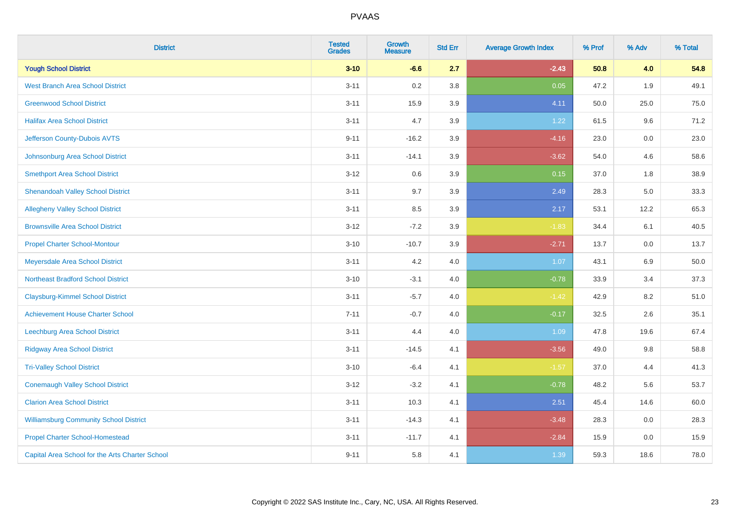| <b>District</b>                                 | <b>Tested</b><br><b>Grades</b> | <b>Growth</b><br><b>Measure</b> | <b>Std Err</b> | <b>Average Growth Index</b> | % Prof | % Adv | % Total |
|-------------------------------------------------|--------------------------------|---------------------------------|----------------|-----------------------------|--------|-------|---------|
| <b>Yough School District</b>                    | $3 - 10$                       | $-6.6$                          | 2.7            | $-2.43$                     | 50.8   | 4.0   | 54.8    |
| <b>West Branch Area School District</b>         | $3 - 11$                       | 0.2                             | 3.8            | 0.05                        | 47.2   | 1.9   | 49.1    |
| <b>Greenwood School District</b>                | $3 - 11$                       | 15.9                            | 3.9            | 4.11                        | 50.0   | 25.0  | 75.0    |
| <b>Halifax Area School District</b>             | $3 - 11$                       | 4.7                             | 3.9            | 1.22                        | 61.5   | 9.6   | 71.2    |
| Jefferson County-Dubois AVTS                    | $9 - 11$                       | $-16.2$                         | 3.9            | $-4.16$                     | 23.0   | 0.0   | 23.0    |
| Johnsonburg Area School District                | $3 - 11$                       | $-14.1$                         | 3.9            | $-3.62$                     | 54.0   | 4.6   | 58.6    |
| <b>Smethport Area School District</b>           | $3 - 12$                       | $0.6\,$                         | 3.9            | 0.15                        | 37.0   | 1.8   | 38.9    |
| <b>Shenandoah Valley School District</b>        | $3 - 11$                       | 9.7                             | 3.9            | 2.49                        | 28.3   | 5.0   | 33.3    |
| <b>Allegheny Valley School District</b>         | $3 - 11$                       | 8.5                             | 3.9            | 2.17                        | 53.1   | 12.2  | 65.3    |
| <b>Brownsville Area School District</b>         | $3 - 12$                       | $-7.2$                          | 3.9            | $-1.83$                     | 34.4   | 6.1   | 40.5    |
| <b>Propel Charter School-Montour</b>            | $3 - 10$                       | $-10.7$                         | 3.9            | $-2.71$                     | 13.7   | 0.0   | 13.7    |
| Meyersdale Area School District                 | $3 - 11$                       | 4.2                             | 4.0            | 1.07                        | 43.1   | 6.9   | 50.0    |
| <b>Northeast Bradford School District</b>       | $3 - 10$                       | $-3.1$                          | 4.0            | $-0.78$                     | 33.9   | 3.4   | 37.3    |
| <b>Claysburg-Kimmel School District</b>         | $3 - 11$                       | $-5.7$                          | 4.0            | $-1.42$                     | 42.9   | 8.2   | 51.0    |
| <b>Achievement House Charter School</b>         | $7 - 11$                       | $-0.7$                          | 4.0            | $-0.17$                     | 32.5   | 2.6   | 35.1    |
| <b>Leechburg Area School District</b>           | $3 - 11$                       | 4.4                             | 4.0            | 1.09                        | 47.8   | 19.6  | 67.4    |
| <b>Ridgway Area School District</b>             | $3 - 11$                       | $-14.5$                         | 4.1            | $-3.56$                     | 49.0   | 9.8   | 58.8    |
| <b>Tri-Valley School District</b>               | $3 - 10$                       | $-6.4$                          | 4.1            | $-1.57$                     | 37.0   | 4.4   | 41.3    |
| <b>Conemaugh Valley School District</b>         | $3 - 12$                       | $-3.2$                          | 4.1            | $-0.78$                     | 48.2   | 5.6   | 53.7    |
| <b>Clarion Area School District</b>             | $3 - 11$                       | 10.3                            | 4.1            | 2.51                        | 45.4   | 14.6  | 60.0    |
| <b>Williamsburg Community School District</b>   | $3 - 11$                       | $-14.3$                         | 4.1            | $-3.48$                     | 28.3   | 0.0   | 28.3    |
| <b>Propel Charter School-Homestead</b>          | $3 - 11$                       | $-11.7$                         | 4.1            | $-2.84$                     | 15.9   | 0.0   | 15.9    |
| Capital Area School for the Arts Charter School | $9 - 11$                       | 5.8                             | 4.1            | 1.39                        | 59.3   | 18.6  | 78.0    |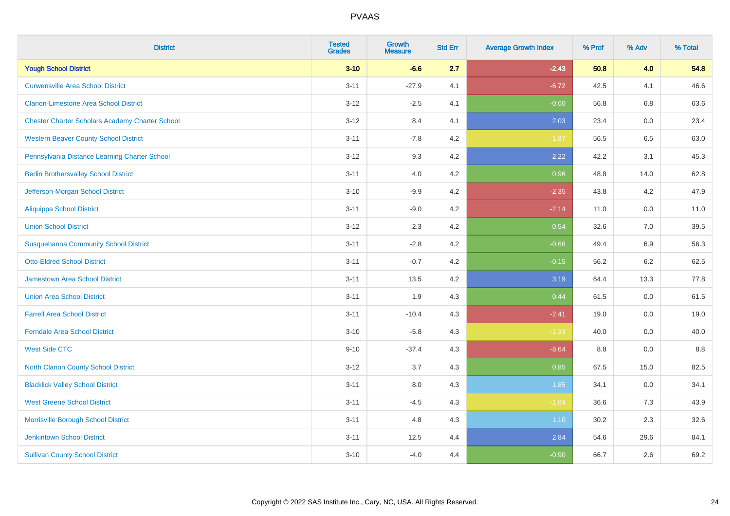| <b>District</b>                                        | <b>Tested</b><br><b>Grades</b> | <b>Growth</b><br><b>Measure</b> | <b>Std Err</b> | <b>Average Growth Index</b> | % Prof | % Adv   | % Total |
|--------------------------------------------------------|--------------------------------|---------------------------------|----------------|-----------------------------|--------|---------|---------|
| <b>Yough School District</b>                           | $3 - 10$                       | $-6.6$                          | 2.7            | $-2.43$                     | 50.8   | 4.0     | 54.8    |
| <b>Curwensville Area School District</b>               | $3 - 11$                       | $-27.9$                         | 4.1            | $-6.72$                     | 42.5   | 4.1     | 46.6    |
| <b>Clarion-Limestone Area School District</b>          | $3 - 12$                       | $-2.5$                          | 4.1            | $-0.60$                     | 56.8   | 6.8     | 63.6    |
| <b>Chester Charter Scholars Academy Charter School</b> | $3 - 12$                       | 8.4                             | 4.1            | 2.03                        | 23.4   | 0.0     | 23.4    |
| <b>Western Beaver County School District</b>           | $3 - 11$                       | $-7.8$                          | 4.2            | $-1.87$                     | 56.5   | 6.5     | 63.0    |
| Pennsylvania Distance Learning Charter School          | $3 - 12$                       | 9.3                             | 4.2            | 2.22                        | 42.2   | 3.1     | 45.3    |
| <b>Berlin Brothersvalley School District</b>           | $3 - 11$                       | 4.0                             | 4.2            | 0.96                        | 48.8   | 14.0    | 62.8    |
| Jefferson-Morgan School District                       | $3 - 10$                       | $-9.9$                          | 4.2            | $-2.35$                     | 43.8   | 4.2     | 47.9    |
| Aliquippa School District                              | $3 - 11$                       | $-9.0$                          | 4.2            | $-2.14$                     | 11.0   | 0.0     | 11.0    |
| <b>Union School District</b>                           | $3 - 12$                       | 2.3                             | 4.2            | 0.54                        | 32.6   | 7.0     | 39.5    |
| <b>Susquehanna Community School District</b>           | $3 - 11$                       | $-2.8$                          | 4.2            | $-0.66$                     | 49.4   | 6.9     | 56.3    |
| <b>Otto-Eldred School District</b>                     | $3 - 11$                       | $-0.7$                          | 4.2            | $-0.15$                     | 56.2   | $6.2\,$ | 62.5    |
| <b>Jamestown Area School District</b>                  | $3 - 11$                       | 13.5                            | 4.2            | 3.19                        | 64.4   | 13.3    | 77.8    |
| <b>Union Area School District</b>                      | $3 - 11$                       | 1.9                             | 4.3            | 0.44                        | 61.5   | 0.0     | 61.5    |
| <b>Farrell Area School District</b>                    | $3 - 11$                       | $-10.4$                         | 4.3            | $-2.41$                     | 19.0   | 0.0     | 19.0    |
| <b>Ferndale Area School District</b>                   | $3 - 10$                       | $-5.8$                          | 4.3            | $-1.33$                     | 40.0   | $0.0\,$ | 40.0    |
| <b>West Side CTC</b>                                   | $9 - 10$                       | $-37.4$                         | 4.3            | $-8.64$                     | 8.8    | 0.0     | $8.8\,$ |
| <b>North Clarion County School District</b>            | $3 - 12$                       | 3.7                             | 4.3            | 0.85                        | 67.5   | 15.0    | 82.5    |
| <b>Blacklick Valley School District</b>                | $3 - 11$                       | 8.0                             | 4.3            | 1.85                        | 34.1   | 0.0     | 34.1    |
| <b>West Greene School District</b>                     | $3 - 11$                       | $-4.5$                          | 4.3            | $-1.04$                     | 36.6   | 7.3     | 43.9    |
| Morrisville Borough School District                    | $3 - 11$                       | 4.8                             | 4.3            | 1.10                        | 30.2   | 2.3     | 32.6    |
| <b>Jenkintown School District</b>                      | $3 - 11$                       | 12.5                            | 4.4            | 2.84                        | 54.6   | 29.6    | 84.1    |
| <b>Sullivan County School District</b>                 | $3 - 10$                       | $-4.0$                          | 4.4            | $-0.90$                     | 66.7   | 2.6     | 69.2    |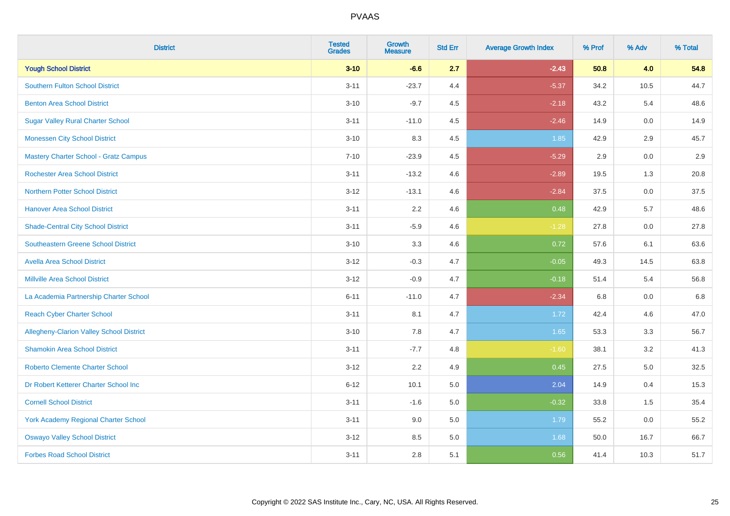| <b>District</b>                                 | <b>Tested</b><br><b>Grades</b> | <b>Growth</b><br><b>Measure</b> | <b>Std Err</b> | <b>Average Growth Index</b> | % Prof | % Adv   | % Total |
|-------------------------------------------------|--------------------------------|---------------------------------|----------------|-----------------------------|--------|---------|---------|
| <b>Yough School District</b>                    | $3 - 10$                       | $-6.6$                          | 2.7            | $-2.43$                     | 50.8   | 4.0     | 54.8    |
| <b>Southern Fulton School District</b>          | $3 - 11$                       | $-23.7$                         | 4.4            | $-5.37$                     | 34.2   | 10.5    | 44.7    |
| <b>Benton Area School District</b>              | $3 - 10$                       | $-9.7$                          | 4.5            | $-2.18$                     | 43.2   | 5.4     | 48.6    |
| <b>Sugar Valley Rural Charter School</b>        | $3 - 11$                       | $-11.0$                         | 4.5            | $-2.46$                     | 14.9   | $0.0\,$ | 14.9    |
| <b>Monessen City School District</b>            | $3 - 10$                       | 8.3                             | 4.5            | 1.85                        | 42.9   | 2.9     | 45.7    |
| <b>Mastery Charter School - Gratz Campus</b>    | $7 - 10$                       | $-23.9$                         | 4.5            | $-5.29$                     | 2.9    | 0.0     | 2.9     |
| <b>Rochester Area School District</b>           | $3 - 11$                       | $-13.2$                         | 4.6            | $-2.89$                     | 19.5   | 1.3     | 20.8    |
| <b>Northern Potter School District</b>          | $3 - 12$                       | $-13.1$                         | 4.6            | $-2.84$                     | 37.5   | 0.0     | 37.5    |
| <b>Hanover Area School District</b>             | $3 - 11$                       | 2.2                             | 4.6            | 0.48                        | 42.9   | 5.7     | 48.6    |
| <b>Shade-Central City School District</b>       | $3 - 11$                       | $-5.9$                          | 4.6            | $-1.28$                     | 27.8   | 0.0     | 27.8    |
| <b>Southeastern Greene School District</b>      | $3 - 10$                       | 3.3                             | 4.6            | 0.72                        | 57.6   | 6.1     | 63.6    |
| <b>Avella Area School District</b>              | $3 - 12$                       | $-0.3$                          | 4.7            | $-0.05$                     | 49.3   | 14.5    | 63.8    |
| <b>Millville Area School District</b>           | $3 - 12$                       | $-0.9$                          | 4.7            | $-0.18$                     | 51.4   | 5.4     | 56.8    |
| La Academia Partnership Charter School          | $6 - 11$                       | $-11.0$                         | 4.7            | $-2.34$                     | 6.8    | 0.0     | 6.8     |
| <b>Reach Cyber Charter School</b>               | $3 - 11$                       | 8.1                             | 4.7            | 1.72                        | 42.4   | 4.6     | 47.0    |
| <b>Allegheny-Clarion Valley School District</b> | $3 - 10$                       | 7.8                             | 4.7            | 1.65                        | 53.3   | 3.3     | 56.7    |
| <b>Shamokin Area School District</b>            | $3 - 11$                       | $-7.7$                          | 4.8            | $-1.60$                     | 38.1   | 3.2     | 41.3    |
| <b>Roberto Clemente Charter School</b>          | $3 - 12$                       | 2.2                             | 4.9            | 0.45                        | 27.5   | 5.0     | 32.5    |
| Dr Robert Ketterer Charter School Inc           | $6 - 12$                       | 10.1                            | 5.0            | 2.04                        | 14.9   | 0.4     | 15.3    |
| <b>Cornell School District</b>                  | $3 - 11$                       | $-1.6$                          | 5.0            | $-0.32$                     | 33.8   | 1.5     | 35.4    |
| York Academy Regional Charter School            | $3 - 11$                       | 9.0                             | 5.0            | 1.79                        | 55.2   | 0.0     | 55.2    |
| <b>Oswayo Valley School District</b>            | $3 - 12$                       | 8.5                             | 5.0            | 1.68                        | 50.0   | 16.7    | 66.7    |
| <b>Forbes Road School District</b>              | $3 - 11$                       | 2.8                             | 5.1            | 0.56                        | 41.4   | 10.3    | 51.7    |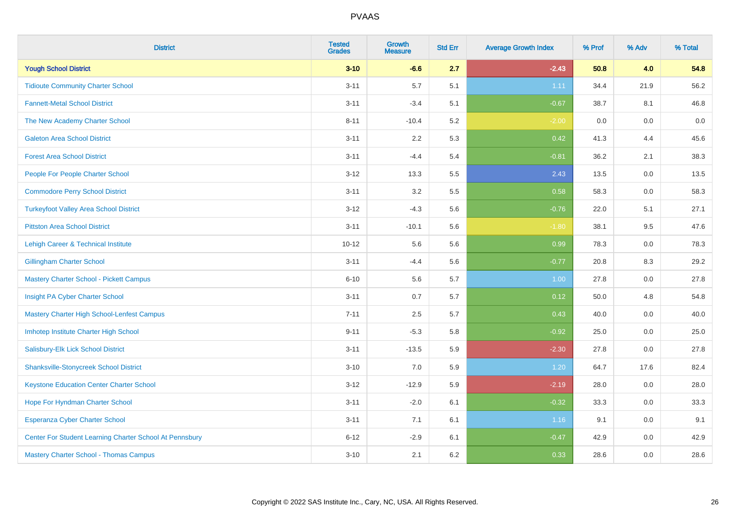| <b>District</b>                                         | <b>Tested</b><br><b>Grades</b> | <b>Growth</b><br><b>Measure</b> | <b>Std Err</b> | <b>Average Growth Index</b> | % Prof | % Adv   | % Total |
|---------------------------------------------------------|--------------------------------|---------------------------------|----------------|-----------------------------|--------|---------|---------|
| <b>Yough School District</b>                            | $3 - 10$                       | $-6.6$                          | 2.7            | $-2.43$                     | 50.8   | 4.0     | 54.8    |
| <b>Tidioute Community Charter School</b>                | $3 - 11$                       | 5.7                             | 5.1            | 1.11                        | 34.4   | 21.9    | 56.2    |
| <b>Fannett-Metal School District</b>                    | $3 - 11$                       | $-3.4$                          | 5.1            | $-0.67$                     | 38.7   | 8.1     | 46.8    |
| The New Academy Charter School                          | $8 - 11$                       | $-10.4$                         | 5.2            | $-2.00$                     | 0.0    | $0.0\,$ | $0.0\,$ |
| <b>Galeton Area School District</b>                     | $3 - 11$                       | 2.2                             | 5.3            | 0.42                        | 41.3   | 4.4     | 45.6    |
| <b>Forest Area School District</b>                      | $3 - 11$                       | $-4.4$                          | 5.4            | $-0.81$                     | 36.2   | 2.1     | 38.3    |
| People For People Charter School                        | $3 - 12$                       | 13.3                            | 5.5            | 2.43                        | 13.5   | 0.0     | 13.5    |
| <b>Commodore Perry School District</b>                  | $3 - 11$                       | 3.2                             | 5.5            | 0.58                        | 58.3   | 0.0     | 58.3    |
| <b>Turkeyfoot Valley Area School District</b>           | $3 - 12$                       | $-4.3$                          | 5.6            | $-0.76$                     | 22.0   | 5.1     | 27.1    |
| <b>Pittston Area School District</b>                    | $3 - 11$                       | $-10.1$                         | 5.6            | $-1.80$                     | 38.1   | 9.5     | 47.6    |
| Lehigh Career & Technical Institute                     | $10 - 12$                      | 5.6                             | 5.6            | 0.99                        | 78.3   | 0.0     | 78.3    |
| <b>Gillingham Charter School</b>                        | $3 - 11$                       | $-4.4$                          | 5.6            | $-0.77$                     | 20.8   | 8.3     | 29.2    |
| <b>Mastery Charter School - Pickett Campus</b>          | $6 - 10$                       | 5.6                             | 5.7            | 1.00                        | 27.8   | 0.0     | 27.8    |
| Insight PA Cyber Charter School                         | $3 - 11$                       | 0.7                             | 5.7            | 0.12                        | 50.0   | 4.8     | 54.8    |
| Mastery Charter High School-Lenfest Campus              | $7 - 11$                       | 2.5                             | 5.7            | 0.43                        | 40.0   | 0.0     | 40.0    |
| Imhotep Institute Charter High School                   | $9 - 11$                       | $-5.3$                          | 5.8            | $-0.92$                     | 25.0   | 0.0     | 25.0    |
| Salisbury-Elk Lick School District                      | $3 - 11$                       | $-13.5$                         | 5.9            | $-2.30$                     | 27.8   | 0.0     | 27.8    |
| <b>Shanksville-Stonycreek School District</b>           | $3 - 10$                       | 7.0                             | 5.9            | 1.20                        | 64.7   | 17.6    | 82.4    |
| <b>Keystone Education Center Charter School</b>         | $3 - 12$                       | $-12.9$                         | 5.9            | $-2.19$                     | 28.0   | 0.0     | 28.0    |
| Hope For Hyndman Charter School                         | $3 - 11$                       | $-2.0$                          | 6.1            | $-0.32$                     | 33.3   | 0.0     | 33.3    |
| Esperanza Cyber Charter School                          | $3 - 11$                       | 7.1                             | 6.1            | 1.16                        | 9.1    | 0.0     | 9.1     |
| Center For Student Learning Charter School At Pennsbury | $6 - 12$                       | $-2.9$                          | 6.1            | $-0.47$                     | 42.9   | 0.0     | 42.9    |
| <b>Mastery Charter School - Thomas Campus</b>           | $3 - 10$                       | 2.1                             | 6.2            | 0.33                        | 28.6   | 0.0     | 28.6    |